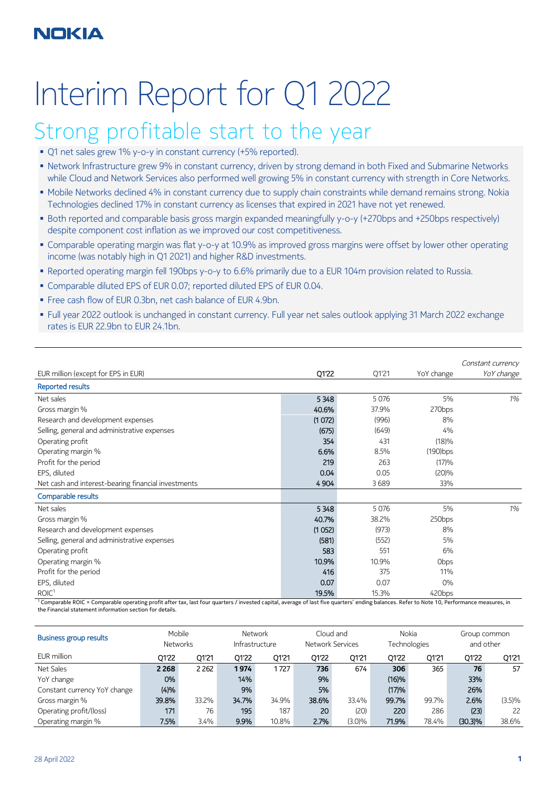# Interim Report for Q1 2022

# Strong profitable start to the year

- O1 net sales grew 1% y-o-y in constant currency (+5% reported).
- Network Infrastructure grew 9% in constant currency, driven by strong demand in both Fixed and Submarine Networks while Cloud and Network Services also performed well growing 5% in constant currency with strength in Core Networks.
- Mobile Networks declined 4% in constant currency due to supply chain constraints while demand remains strong. Nokia Technologies declined 17% in constant currency as licenses that expired in 2021 have not yet renewed.
- Both reported and comparable basis gross margin expanded meaningfully y-o-y (+270bps and +250bps respectively) despite component cost inflation as we improved our cost competitiveness.
- Comparable operating margin was flat y-o-y at 10.9% as improved gross margins were offset by lower other operating income (was notably high in Q1 2021) and higher R&D investments.
- Reported operating margin fell 190bps y-o-y to 6.6% primarily due to a EUR 104m provision related to Russia.
- Comparable diluted EPS of EUR 0.07; reported diluted EPS of EUR 0.04.
- Free cash flow of EUR 0.3bn, net cash balance of EUR 4.9bn.
- Full year 2022 outlook is unchanged in constant currency. Full year net sales outlook applying 31 March 2022 exchange rates is EUR 22.9bn to EUR 24.1bn.

|                                                     |         |         |             | Constant currency |
|-----------------------------------------------------|---------|---------|-------------|-------------------|
| EUR million (except for EPS in EUR)                 | Q1'22   | Q1'21   | YoY change  | YoY change        |
| <b>Reported results</b>                             |         |         |             |                   |
| Net sales                                           | 5348    | 5 0 7 6 | 5%          | 1%                |
| Gross margin %                                      | 40.6%   | 37.9%   | 270bps      |                   |
| Research and development expenses                   | (1072)  | (996)   | 8%          |                   |
| Selling, general and administrative expenses        | (675)   | (649)   | 4%          |                   |
| Operating profit                                    | 354     | 431     | (18)%       |                   |
| Operating margin %                                  | 6.6%    | 8.5%    | $(190)$ bps |                   |
| Profit for the period                               | 219     | 263     | (17)%       |                   |
| EPS, diluted                                        | 0.04    | 0.05    | (20)%       |                   |
| Net cash and interest-bearing financial investments | 4 9 0 4 | 3689    | 33%         |                   |
| Comparable results                                  |         |         |             |                   |
| Net sales                                           | 5348    | 5 0 7 6 | 5%          | 1%                |
| Gross margin %                                      | 40.7%   | 38.2%   | 250bps      |                   |
| Research and development expenses                   | (1052)  | (973)   | 8%          |                   |
| Selling, general and administrative expenses        | (581)   | (552)   | 5%          |                   |
| Operating profit                                    | 583     | 551     | 6%          |                   |
| Operating margin %                                  | 10.9%   | 10.9%   | <b>Obps</b> |                   |
| Profit for the period                               | 416     | 375     | 11%         |                   |
| EPS, diluted                                        | 0.07    | 0.07    | $0\%$       |                   |
| ROIC <sup>1</sup>                                   | 19.5%   | 15.3%   | 420bps      |                   |

<sup>1</sup> Comparable ROIC = Comparable operating profit after tax, last four quarters / invested capital, average of last five quarters' ending balances. Refer to Note 10, Performance measures, in the Financial statement information section for details.

| Business group results       |         | Mobile<br><b>Networks</b> |       | Network<br>Infrastructure |       | Cloud and<br>Network Services |       | <b>Nokia</b><br>Technologies | and other  | Group common |
|------------------------------|---------|---------------------------|-------|---------------------------|-------|-------------------------------|-------|------------------------------|------------|--------------|
| EUR million                  | 01'22   | 01'21                     | 01'22 | 01'21                     | 01'22 | Q1'21                         | 01'22 | 01'21                        | 01'22      | Q1'21        |
| Net Sales                    | 2 2 6 8 | 2 2 6 2                   | 1974  | 1727                      | 736   | 674                           | 306   | 365                          | 76         | 57           |
| YoY change                   | 0%      |                           | 14%   |                           | 9%    |                               | (16)% |                              | 33%        |              |
| Constant currency YoY change | (4)%    |                           | 9%    |                           | 5%    |                               | (17)% |                              | 26%        |              |
| Gross margin %               | 39.8%   | 33.2%                     | 34.7% | 34.9%                     | 38.6% | 33.4%                         | 99.7% | 99.7%                        | 2.6%       | (3.5)%       |
| Operating profit/(loss)      | 171     | 76                        | 195   | 187                       | 20    | (20)                          | 220   | 286                          | (23)       | 22           |
| Operating margin %           | 7.5%    | 3.4%                      | 9.9%  | 10.8%                     | 2.7%  | $(3.0)\%$                     | 71.9% | 78.4%                        | $(30.3)\%$ | 38.6%        |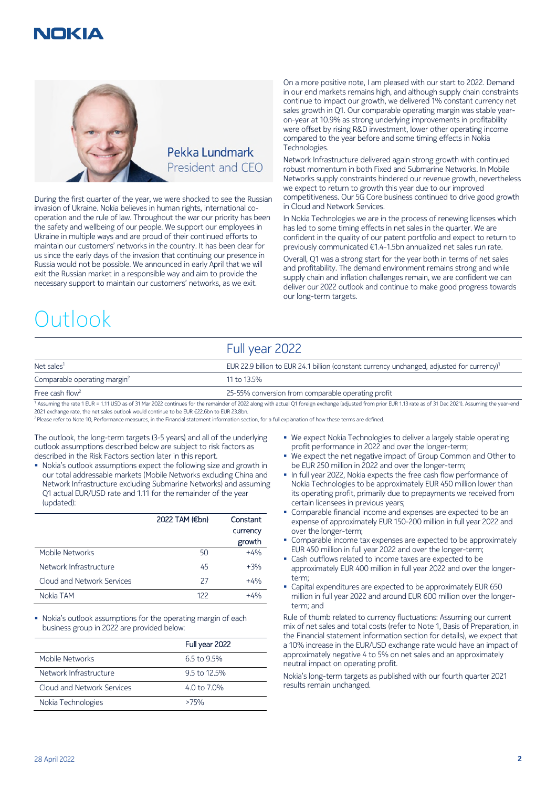



During the first quarter of the year, we were shocked to see the Russian invasion of Ukraine. Nokia believes in human rights, international cooperation and the rule of law. Throughout the war our priority has been the safety and wellbeing of our people. We support our employees in Ukraine in multiple ways and are proud of their continued efforts to maintain our customers' networks in the country. It has been clear for us since the early days of the invasion that continuing our presence in Russia would not be possible. We announced in early April that we will exit the Russian market in a responsible way and aim to provide the necessary support to maintain our customers' networks, as we exit.

# Outlook

On a more positive note, I am pleased with our start to 2022. Demand in our end markets remains high, and although supply chain constraints continue to impact our growth, we delivered 1% constant currency net sales growth in Q1. Our comparable operating margin was stable yearon-year at 10.9% as strong underlying improvements in profitability were offset by rising R&D investment, lower other operating income compared to the year before and some timing effects in Nokia Technologies.

Network Infrastructure delivered again strong growth with continued robust momentum in both Fixed and Submarine Networks. In Mobile Networks supply constraints hindered our revenue growth, nevertheless we expect to return to growth this year due to our improved competitiveness. Our 5G Core business continued to drive good growth in Cloud and Network Services.

In Nokia Technologies we are in the process of renewing licenses which has led to some timing effects in net sales in the quarter. We are confident in the quality of our patent portfolio and expect to return to previously communicated €1.4-1.5bn annualized net sales run rate.

Overall, Q1 was a strong start for the year both in terms of net sales and profitability. The demand environment remains strong and while supply chain and inflation challenges remain, we are confident we can deliver our 2022 outlook and continue to make good progress towards our long-term targets.

## Full year 2022

| Net sales <sup>1</sup>                   | EUR 22.9 billion to EUR 24.1 billion (constant currency unchanged, adjusted for currency) <sup>1</sup> |
|------------------------------------------|--------------------------------------------------------------------------------------------------------|
| Comparable operating margin <sup>2</sup> | 11 to 13.5%                                                                                            |
| Free cash flow <sup>2</sup>              | 25-55% conversion from comparable operating profit                                                     |

<sup>1</sup> Assuming the rate 1 EUR = 1.11 USD as of 31 Mar 2022 continues for the remainder of 2022 along with actual Q1 foreign exchange (adjusted from prior EUR 1.13 rate as of 31 Dec 2021). Assuming the year-end 2021 exchange rate, the net sales outlook would continue to be EUR €22.6bn to EUR 23.8bn.

<sup>2</sup> Please refer to Note 10, Performance measures, in the Financial statement information section, for a full explanation of how these terms are defined.

The outlook, the long-term targets (3-5 years) and all of the underlying outlook assumptions described below are subject to risk factors as described in the Risk Factors section later in this report.

 Nokia's outlook assumptions expect the following size and growth in our total addressable markets (Mobile Networks excluding China and Network Infrastructure excluding Submarine Networks) and assuming Q1 actual EUR/USD rate and 1.11 for the remainder of the year (updated):

|                            | 2022 TAM (€bn) | Constant |
|----------------------------|----------------|----------|
|                            |                | currency |
|                            |                | growth   |
| Mobile Networks            | 50             | $+4%$    |
| Network Infrastructure     | 45             | $+3%$    |
| Cloud and Network Services | 27             | $+4%$    |
| Nokia TAM                  | 122            | $+4%$    |

 Nokia's outlook assumptions for the operating margin of each business group in 2022 are provided below:

|                            | Full year 2022 |
|----------------------------|----------------|
| Mobile Networks            | 6.5 to 9.5%    |
| Network Infrastructure     | 9.5 to 12.5%   |
| Cloud and Network Services | 4.0 to 7.0%    |
| Nokia Technologies         | >75%           |

- We expect Nokia Technologies to deliver a largely stable operating profit performance in 2022 and over the longer-term;
- We expect the net negative impact of Group Common and Other to be EUR 250 million in 2022 and over the longer-term;
- **In full year 2022, Nokia expects the free cash flow performance of** Nokia Technologies to be approximately EUR 450 million lower than its operating profit, primarily due to prepayments we received from certain licensees in previous years;
- Comparable financial income and expenses are expected to be an expense of approximately EUR 150-200 million in full year 2022 and over the longer-term;
- **Comparable income tax expenses are expected to be approximately** EUR 450 million in full year 2022 and over the longer-term;
- Cash outflows related to income taxes are expected to be approximately EUR 400 million in full year 2022 and over the longerterm;
- Capital expenditures are expected to be approximately EUR 650 million in full year 2022 and around EUR 600 million over the longerterm; and

Rule of thumb related to currency fluctuations: Assuming our current mix of net sales and total costs (refer to Note 1, Basis of Preparation, in the Financial statement information section for details), we expect that a 10% increase in the EUR/USD exchange rate would have an impact of approximately negative 4 to 5% on net sales and an approximately neutral impact on operating profit.

Nokia's long-term targets as published with our fourth quarter 2021 results remain unchanged.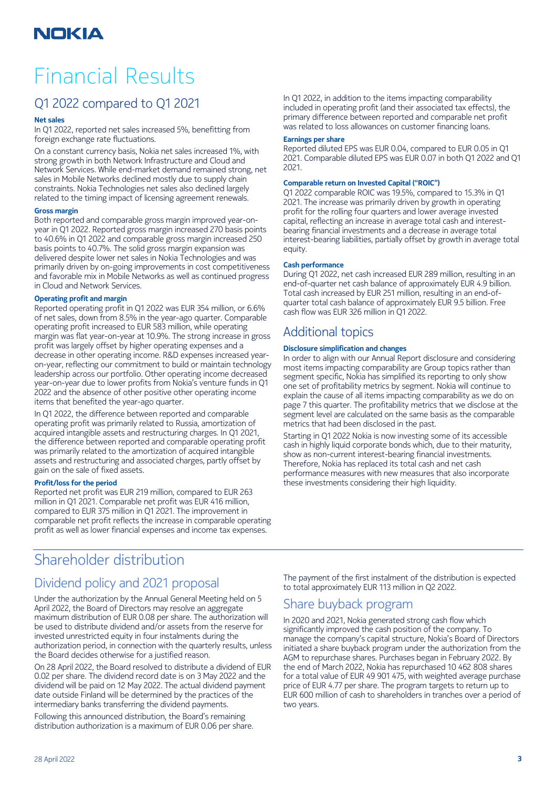# Financial Results

## Q1 2022 compared to Q1 2021

#### **Net sales**

In Q1 2022, reported net sales increased 5%, benefitting from foreign exchange rate fluctuations.

On a constant currency basis, Nokia net sales increased 1%, with strong growth in both Network Infrastructure and Cloud and Network Services. While end-market demand remained strong, net sales in Mobile Networks declined mostly due to supply chain constraints. Nokia Technologies net sales also declined largely related to the timing impact of licensing agreement renewals.

#### **Gross margin**

Both reported and comparable gross margin improved year-onyear in Q1 2022. Reported gross margin increased 270 basis points to 40.6% in Q1 2022 and comparable gross margin increased 250 basis points to 40.7%. The solid gross margin expansion was delivered despite lower net sales in Nokia Technologies and was primarily driven by on-going improvements in cost competitiveness and favorable mix in Mobile Networks as well as continued progress in Cloud and Network Services.

#### **Operating profit and margin**

Reported operating profit in Q1 2022 was EUR 354 million, or 6.6% of net sales, down from 8.5% in the year-ago quarter. Comparable operating profit increased to EUR 583 million, while operating margin was flat year-on-year at 10.9%. The strong increase in gross profit was largely offset by higher operating expenses and a decrease in other operating income. R&D expenses increased yearon-year, reflecting our commitment to build or maintain technology leadership across our portfolio. Other operating income decreased year-on-year due to lower profits from Nokia's venture funds in Q1 2022 and the absence of other positive other operating income items that benefited the year-ago quarter.

In Q1 2022, the difference between reported and comparable operating profit was primarily related to Russia, amortization of acquired intangible assets and restructuring charges. In Q1 2021, the difference between reported and comparable operating profit was primarily related to the amortization of acquired intangible assets and restructuring and associated charges, partly offset by gain on the sale of fixed assets.

#### **Profit/loss for the period**

Reported net profit was EUR 219 million, compared to EUR 263 million in Q1 2021. Comparable net profit was EUR 416 million, compared to EUR 375 million in Q1 2021. The improvement in comparable net profit reflects the increase in comparable operating profit as well as lower financial expenses and income tax expenses.

In Q1 2022, in addition to the items impacting comparability included in operating profit (and their associated tax effects), the primary difference between reported and comparable net profit was related to loss allowances on customer financing loans.

#### **Earnings per share**

Reported diluted EPS was EUR 0.04, compared to EUR 0.05 in Q1 2021. Comparable diluted EPS was EUR 0.07 in both Q1 2022 and Q1 2021.

#### **Comparable return on Invested Capital ("ROIC")**

Q1 2022 comparable ROIC was 19.5%, compared to 15.3% in Q1 2021. The increase was primarily driven by growth in operating profit for the rolling four quarters and lower average invested capital, reflecting an increase in average total cash and interestbearing financial investments and a decrease in average total interest-bearing liabilities, partially offset by growth in average total equity.

#### **Cash performance**

During Q1 2022, net cash increased EUR 289 million, resulting in an end-of-quarter net cash balance of approximately EUR 4.9 billion. Total cash increased by EUR 251 million, resulting in an end-ofquarter total cash balance of approximately EUR 9.5 billion. Free cash flow was EUR 326 million in Q1 2022.

## Additional topics

#### **Disclosure simplification and changes**

In order to align with our Annual Report disclosure and considering most items impacting comparability are Group topics rather than segment specific, Nokia has simplified its reporting to only show one set of profitability metrics by segment. Nokia will continue to explain the cause of all items impacting comparability as we do on page 7 this quarter. The profitability metrics that we disclose at the segment level are calculated on the same basis as the comparable metrics that had been disclosed in the past.

Starting in Q1 2022 Nokia is now investing some of its accessible cash in highly liquid corporate bonds which, due to their maturity, show as non-current interest-bearing financial investments. Therefore, Nokia has replaced its total cash and net cash performance measures with new measures that also incorporate these investments considering their high liquidity.

## Shareholder distribution

## Dividend policy and 2021 proposal

Under the authorization by the Annual General Meeting held on 5 April 2022, the Board of Directors may resolve an aggregate maximum distribution of EUR 0.08 per share. The authorization will be used to distribute dividend and/or assets from the reserve for invested unrestricted equity in four instalments during the authorization period, in connection with the quarterly results, unless the Board decides otherwise for a justified reason.

On 28 April 2022, the Board resolved to distribute a dividend of EUR 0.02 per share. The dividend record date is on 3 May 2022 and the dividend will be paid on 12 May 2022. The actual dividend payment date outside Finland will be determined by the practices of the intermediary banks transferring the dividend payments.

Following this announced distribution, the Board's remaining distribution authorization is a maximum of EUR 0.06 per share.

The payment of the first instalment of the distribution is expected to total approximately EUR 113 million in Q2 2022.

## Share buyback program

In 2020 and 2021, Nokia generated strong cash flow which significantly improved the cash position of the company. To manage the company's capital structure, Nokia's Board of Directors initiated a share buyback program under the authorization from the AGM to repurchase shares. Purchases began in February 2022. By the end of March 2022, Nokia has repurchased 10 462 808 shares for a total value of EUR 49 901 475, with weighted average purchase price of EUR 4.77 per share. The program targets to return up to EUR 600 million of cash to shareholders in tranches over a period of two years.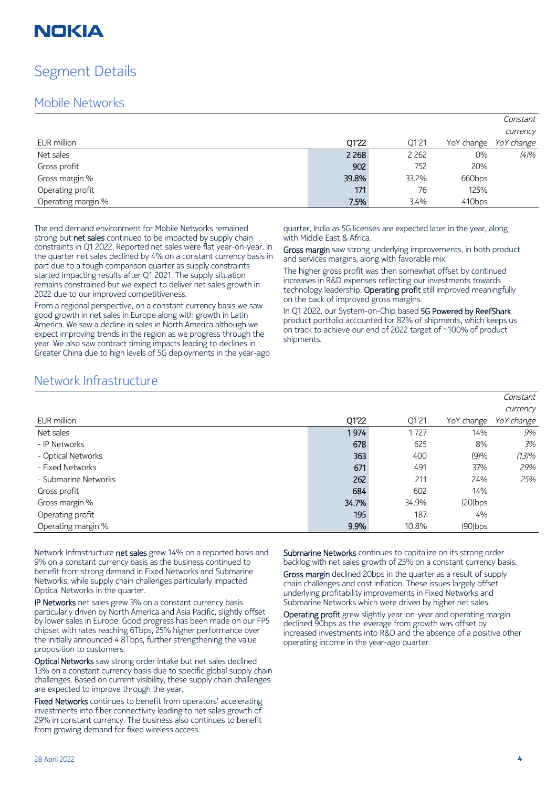## Segment Details

## Mobile Networks

|                    |         |         |            | Constant   |
|--------------------|---------|---------|------------|------------|
|                    |         |         |            | currency   |
| EUR million        | Q1'22   | Q1'21   | YoY change | YoY change |
| Net sales          | 2 2 6 8 | 2 2 6 2 | $0\%$      | (4)%       |
| Gross profit       | 902     | 752     | 20%        |            |
| Gross margin %     | 39.8%   | 33.2%   | 660bps     |            |
| Operating profit   | 171     | 76      | 125%       |            |
| Operating margin % | 7.5%    | 3.4%    | 410bps     |            |

The end demand environment for Mobile Networks remained strong but net sales continued to be impacted by supply chain constraints in Q1 2022. Reported net sales were flat year-on-year. In the quarter net sales declined by 4% on a constant currency basis in part due to a tough comparison quarter as supply constraints started impacting results after Q1 2021. The supply situation remains constrained but we expect to deliver net sales growth in 2022 due to our improved competitiveness.

From a regional perspective, on a constant currency basis we saw good growth in net sales in Europe along with growth in Latin America. We saw a decline in sales in North America although we expect improving trends in the region as we progress through the year. We also saw contract timing impacts leading to declines in Greater China due to high levels of 5G deployments in the year-ago

quarter, India as 5G licenses are expected later in the year, along with Middle East & Africa.

Gross margin saw strong underlying improvements, in both product and services margins, along with favorable mix.

The higher gross profit was then somewhat offset by continued increases in R&D expenses reflecting our investments towards technology leadership. Operating profit still improved meaningfully on the back of improved gross margins.

In Q1 2022, our System-on-Chip based 5G Powered by ReefShark product portfolio accounted for 82% of shipments, which keeps us on track to achieve our end of 2022 target of ~100% of product shipments.

## Network Infrastructure

|                      |       |       |            | Constant   |
|----------------------|-------|-------|------------|------------|
|                      |       |       |            | currency   |
| EUR million          | Q1'22 | Q1'21 | YoY change | YoY change |
| Net sales            | 1974  | 1727  | 14%        | 9%         |
| - IP Networks        | 678   | 625   | 8%         | 3%         |
| - Optical Networks   | 363   | 400   | (9)%       | (13)%      |
| - Fixed Networks     | 671   | 491   | 37%        | 29%        |
| - Submarine Networks | 262   | 211   | 24%        | 25%        |
| Gross profit         | 684   | 602   | 14%        |            |
| Gross margin %       | 34.7% | 34.9% | $(20)$ bps |            |
| Operating profit     | 195   | 187   | 4%         |            |
| Operating margin %   | 9.9%  | 10.8% | $(90)$ bps |            |

Network Infrastructure net sales grew 14% on a reported basis and 9% on a constant currency basis as the business continued to benefit from strong demand in Fixed Networks and Submarine Networks, while supply chain challenges particularly impacted Optical Networks in the quarter.

IP Networks net sales grew 3% on a constant currency basis particularly driven by North America and Asia Pacific, slightly offset by lower sales in Europe. Good progress has been made on our FP5 chipset with rates reaching 6Tbps, 25% higher performance over the initially announced 4.8Tbps, further strengthening the value proposition to customers.

Optical Networks saw strong order intake but net sales declined 13% on a constant currency basis due to specific global supply chain challenges. Based on current visibility, these supply chain challenges are expected to improve through the year.

Fixed Networks continues to benefit from operators' accelerating investments into fiber connectivity leading to net sales growth of 29% in constant currency. The business also continues to benefit from growing demand for fixed wireless access.

Submarine Networks continues to capitalize on its strong order backlog with net sales growth of 25% on a constant currency basis.

Gross margin declined 20bps in the quarter as a result of supply chain challenges and cost inflation. These issues largely offset underlying profitability improvements in Fixed Networks and Submarine Networks which were driven by higher net sales.

Operating profit grew slightly year-on-year and operating margin declined 90bps as the leverage from growth was offset by increased investments into R&D and the absence of a positive other operating income in the year-ago quarter.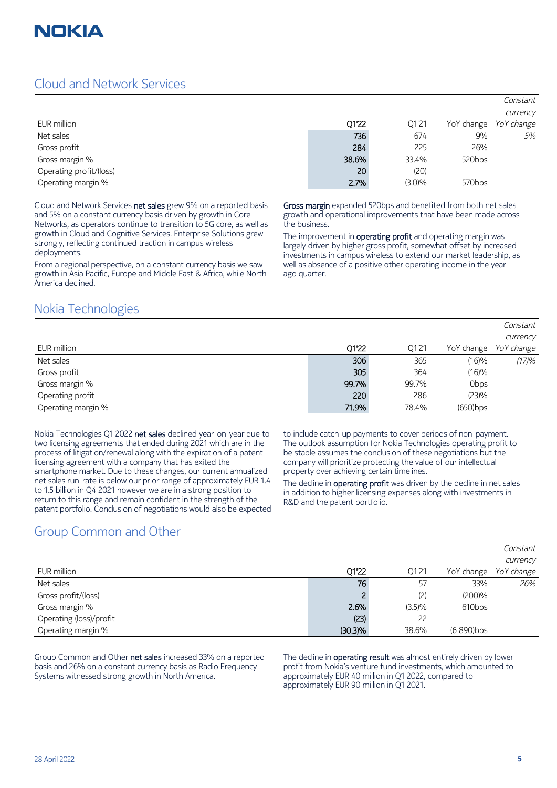

## Cloud and Network Services

|                         |       |           |                    | Constant          |
|-------------------------|-------|-----------|--------------------|-------------------|
|                         |       |           |                    | currency          |
| EUR million             | Q1'22 | Q1'21     | YoY change         | <i>YoY change</i> |
| Net sales               | 736   | 674       | 9%                 | 5%                |
| Gross profit            | 284   | 225       | 26%                |                   |
| Gross margin %          | 38.6% | 33.4%     | 520 <sub>bps</sub> |                   |
| Operating profit/(loss) | 20    | (20)      |                    |                   |
| Operating margin %      | 2.7%  | $(3.0)\%$ | 570 <sub>bps</sub> |                   |

Cloud and Network Services net sales grew 9% on a reported basis and 5% on a constant currency basis driven by growth in Core Networks, as operators continue to transition to 5G core, as well as growth in Cloud and Cognitive Services. Enterprise Solutions grew strongly, reflecting continued traction in campus wireless deployments.

From a regional perspective, on a constant currency basis we saw growth in Asia Pacific, Europe and Middle East & Africa, while North America declined.

Gross margin expanded 520bps and benefited from both net sales growth and operational improvements that have been made across the business.

The improvement in **operating profit** and operating margin was largely driven by higher gross profit, somewhat offset by increased investments in campus wireless to extend our market leadership, as well as absence of a positive other operating income in the yearago quarter.

## Nokia Technologies

|                    |       |       |             | Constant          |
|--------------------|-------|-------|-------------|-------------------|
|                    |       |       |             | currency          |
| EUR million        | 01'22 | Q1'21 | YoY change  | <i>YoY change</i> |
| Net sales          | 306   | 365   | (16)%       | (17)%             |
| Gross profit       | 305   | 364   | (16)%       |                   |
| Gross margin %     | 99.7% | 99.7% | <b>Obps</b> |                   |
| Operating profit   | 220   | 286   | (23)%       |                   |
| Operating margin % | 71.9% | 78.4% | $(650)$ bps |                   |

Nokia Technologies Q1 2022 net sales declined year-on-year due to two licensing agreements that ended during 2021 which are in the process of litigation/renewal along with the expiration of a patent licensing agreement with a company that has exited the smartphone market. Due to these changes, our current annualized net sales run-rate is below our prior range of approximately EUR 1.4 to 1.5 billion in Q4 2021 however we are in a strong position to return to this range and remain confident in the strength of the patent portfolio. Conclusion of negotiations would also be expected to include catch-up payments to cover periods of non-payment. The outlook assumption for Nokia Technologies operating profit to be stable assumes the conclusion of these negotiations but the company will prioritize protecting the value of our intellectual property over achieving certain timelines.

The decline in operating profit was driven by the decline in net sales in addition to higher licensing expenses along with investments in R&D and the patent portfolio.

## Group Common and Other

|                         |            |        |                    | CUIDICIIII.       |
|-------------------------|------------|--------|--------------------|-------------------|
|                         |            |        |                    | currency          |
| EUR million             | 01'22      | 01'21  | YoY change         | <i>YoY change</i> |
| Net sales               | 76         | 57     | 33%                | 26%               |
| Gross profit/(loss)     |            | (2)    | $(200)\%$          |                   |
| Gross margin %          | 2.6%       | (3.5)% | 610 <sub>bps</sub> |                   |
| Operating (loss)/profit | (23)       | 22     |                    |                   |
| Operating margin %      | $(30.3)\%$ | 38.6%  | (6 890) bps        |                   |

Group Common and Other net sales increased 33% on a reported basis and 26% on a constant currency basis as Radio Frequency Systems witnessed strong growth in North America.

The decline in operating result was almost entirely driven by lower profit from Nokia's venture fund investments, which amounted to approximately EUR 40 million in Q1 2022, compared to approximately EUR 90 million in Q1 2021.

Constant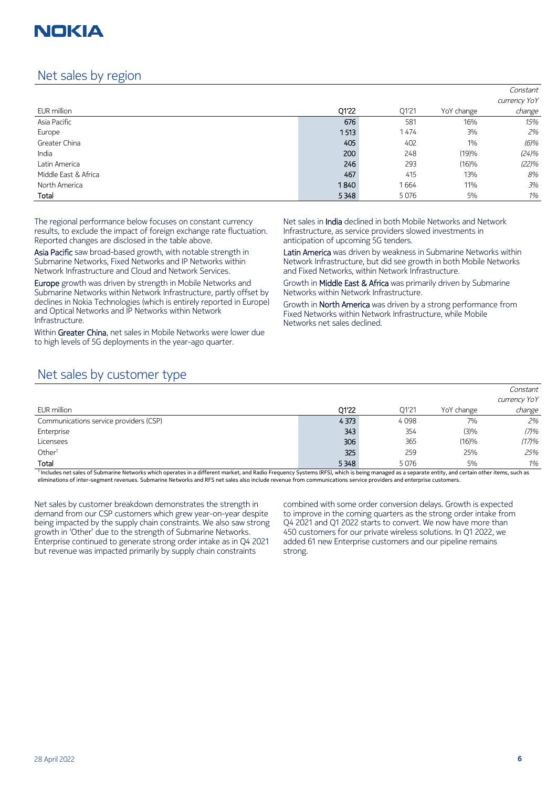## Net sales by region

|                      |       |       |            | Constant     |
|----------------------|-------|-------|------------|--------------|
|                      |       |       |            | currency YoY |
| EUR million          | Q1'22 | Q1'21 | YoY change | change       |
| Asia Pacific         | 676   | 581   | 16%        | 15%          |
| Europe               | 1513  | 1474  | 3%         | 2%           |
| Greater China        | 405   | 402   | 1%         | $(6)\%$      |
| India                | 200   | 248   | (19)%      | (24)%        |
| Latin America        | 246   | 293   | (16)%      | (22)%        |
| Middle East & Africa | 467   | 415   | 13%        | 8%           |
| North America        | 1840  | 1664  | 11%        | 3%           |
| Total                | 5348  | 5076  | 5%         | 1%           |

The regional performance below focuses on constant currency results, to exclude the impact of foreign exchange rate fluctuation. Reported changes are disclosed in the table above.

Asia Pacific saw broad-based growth, with notable strength in Submarine Networks, Fixed Networks and IP Networks within Network Infrastructure and Cloud and Network Services.

Europe growth was driven by strength in Mobile Networks and Submarine Networks within Network Infrastructure, partly offset by declines in Nokia Technologies (which is entirely reported in Europe) and Optical Networks and IP Networks within Network Infrastructure.

Within Greater China, net sales in Mobile Networks were lower due to high levels of 5G deployments in the year-ago quarter.

Net sales in India declined in both Mobile Networks and Network Infrastructure, as service providers slowed investments in anticipation of upcoming 5G tenders.

Latin America was driven by weakness in Submarine Networks within Network Infrastructure, but did see growth in both Mobile Networks and Fixed Networks, within Network Infrastructure.

Growth in Middle East & Africa was primarily driven by Submarine Networks within Network Infrastructure.

Growth in **North America** was driven by a strong performance from Fixed Networks within Network Infrastructure, while Mobile Networks net sales declined.

## Net sales by customer type

|                                        |         |       |            | Constant     |
|----------------------------------------|---------|-------|------------|--------------|
|                                        |         |       |            | currency YoY |
| EUR million                            | O1'22   | 01'21 | YoY change | change       |
| Communications service providers (CSP) | 4 3 7 3 | 4098  | 7%         | 2%           |
| Enterprise                             | 343     | 354   | (3)%       | (7)%         |
| Licensees                              | 306     | 365   | (16)%      | (17)%        |
| Other <sup>1</sup>                     | 325     | 259   | 25%        | 25%          |
| Total                                  | 5 3 4 8 | 5076  | 5%         | $1\%$        |

<sup>1</sup> Includes net sales of Submarine Networks which operates in a different market, and Radio Frequency Systems (RFS), which is being managed as a separate entity, and certain other items, such as eliminations of inter-segment revenues. Submarine Networks and RFS net sales also include revenue from communications service providers and enterprise customers.

Net sales by customer breakdown demonstrates the strength in demand from our CSP customers which grew year-on-year despite being impacted by the supply chain constraints. We also saw strong growth in 'Other' due to the strength of Submarine Networks. Enterprise continued to generate strong order intake as in Q4 2021 but revenue was impacted primarily by supply chain constraints

combined with some order conversion delays. Growth is expected to improve in the coming quarters as the strong order intake from Q4 2021 and Q1 2022 starts to convert. We now have more than 450 customers for our private wireless solutions. In Q1 2022, we added 61 new Enterprise customers and our pipeline remains strong.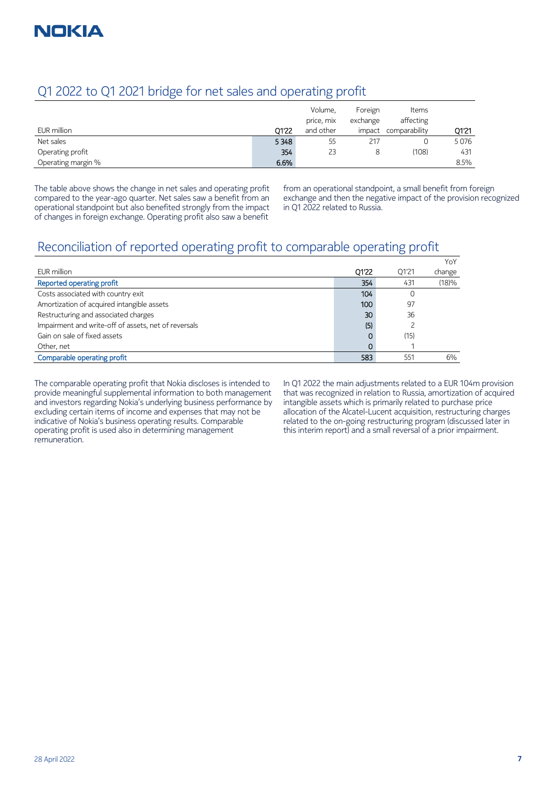## Q1 2022 to Q1 2021 bridge for net sales and operating profit

|                    |       | Volume,    | Foreign  | Items         |       |
|--------------------|-------|------------|----------|---------------|-------|
|                    |       | price, mix | exchange | affecting     |       |
| EUR million        | 01'22 | and other  | impact   | comparability | 01'21 |
| Net sales          | 5348  | 55         | 217      |               | 5076  |
| Operating profit   | 354   | 23         |          | (108)         | 431   |
| Operating margin % | 6.6%  |            |          |               | 8.5%  |

The table above shows the change in net sales and operating profit compared to the year-ago quarter. Net sales saw a benefit from an operational standpoint but also benefited strongly from the impact of changes in foreign exchange. Operating profit also saw a benefit

from an operational standpoint, a small benefit from foreign exchange and then the negative impact of the provision recognized in Q1 2022 related to Russia.

## Reconciliation of reported operating profit to comparable operating profit

|                                                      |       |       | YoY    |
|------------------------------------------------------|-------|-------|--------|
| EUR million                                          | Q1'22 | 01'21 | change |
| Reported operating profit                            | 354   | 431   | (18)%  |
| Costs associated with country exit                   | 104   |       |        |
| Amortization of acquired intangible assets           | 100   | 97    |        |
| Restructuring and associated charges                 | 30    | 36    |        |
| Impairment and write-off of assets, net of reversals | (5)   |       |        |
| Gain on sale of fixed assets                         |       | (15)  |        |
| Other, net                                           |       |       |        |
| Comparable operating profit                          | 583   | 551   | 6%     |

The comparable operating profit that Nokia discloses is intended to provide meaningful supplemental information to both management and investors regarding Nokia's underlying business performance by excluding certain items of income and expenses that may not be indicative of Nokia's business operating results. Comparable operating profit is used also in determining management remuneration.

In Q1 2022 the main adjustments related to a EUR 104m provision that was recognized in relation to Russia, amortization of acquired intangible assets which is primarily related to purchase price allocation of the Alcatel-Lucent acquisition, restructuring charges related to the on-going restructuring program (discussed later in this interim report) and a small reversal of a prior impairment.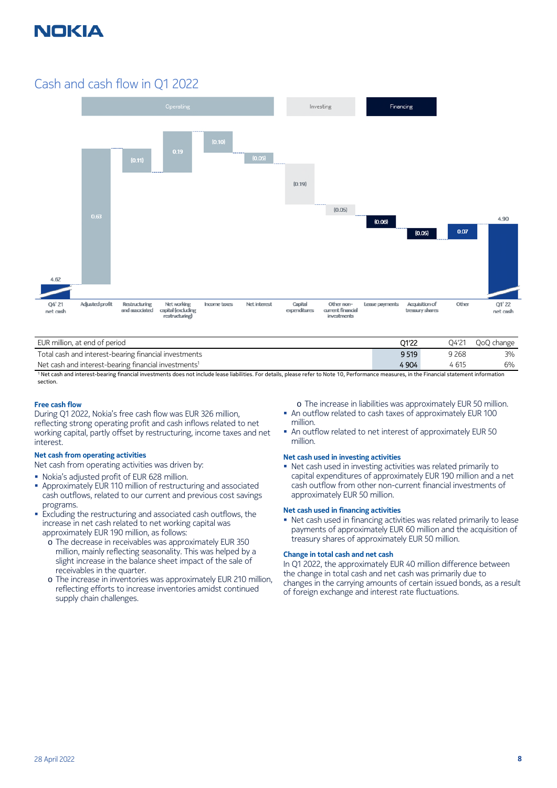

## Cash and cash flow in Q1 2022



| EUR million, at end of period                                    | 01'22 | O4'21   | QoQ change |
|------------------------------------------------------------------|-------|---------|------------|
| Total cash and interest-bearing financial investments            | 9519  | 9 2 6 8 | 3%         |
| Net cash and interest-bearing financial investments <sup>1</sup> | 4 904 | 4 615   | 6%         |

1 Net cash and interest-bearing financial investments does not include lease liabilities. For details, please refer to Note 10, Performance measures, in the Financial statement information section.

#### **Free cash flow**

During Q1 2022, Nokia's free cash flow was EUR 326 million, reflecting strong operating profit and cash inflows related to net working capital, partly offset by restructuring, income taxes and net interest.

#### **Net cash from operating activities**

Net cash from operating activities was driven by:

- Nokia's adjusted profit of EUR 628 million.
- Approximately EUR 110 million of restructuring and associated cash outflows, related to our current and previous cost savings programs.
- **Excluding the restructuring and associated cash outflows, the** increase in net cash related to net working capital was approximately EUR 190 million, as follows:
	- o The decrease in receivables was approximately EUR 350 million, mainly reflecting seasonality. This was helped by a slight increase in the balance sheet impact of the sale of receivables in the quarter.
	- o The increase in inventories was approximately EUR 210 million, reflecting efforts to increase inventories amidst continued supply chain challenges.

o The increase in liabilities was approximately EUR 50 million.

- An outflow related to cash taxes of approximately EUR 100 million.
- An outflow related to net interest of approximately EUR 50 million.

#### **Net cash used in investing activities**

 Net cash used in investing activities was related primarily to capital expenditures of approximately EUR 190 million and a net cash outflow from other non-current financial investments of approximately EUR 50 million.

#### **Net cash used in financing activities**

 Net cash used in financing activities was related primarily to lease payments of approximately EUR 60 million and the acquisition of treasury shares of approximately EUR 50 million.

#### **Change in total cash and net cash**

In Q1 2022, the approximately EUR 40 million difference between the change in total cash and net cash was primarily due to changes in the carrying amounts of certain issued bonds, as a result of foreign exchange and interest rate fluctuations.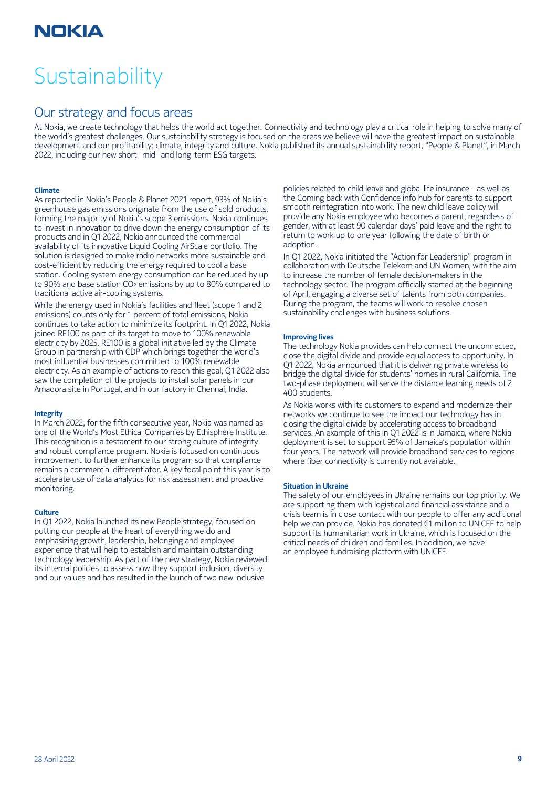# **Sustainability**

## Our strategy and focus areas

At Nokia, we create technology that helps the world act together. Connectivity and technology play a critical role in helping to solve many of the world's greatest challenges. Our sustainability strategy is focused on the areas we believe will have the greatest impact on sustainable development and our profitability: climate, integrity and culture. Nokia published its annual sustainability report, "People & Planet", in March 2022, including our new short- mid- and long-term ESG targets.

#### **Climate**

As reported in Nokia's People & Planet 2021 report, 93% of Nokia's greenhouse gas emissions originate from the use of sold products, forming the majority of Nokia's scope 3 emissions. Nokia continues to invest in innovation to drive down the energy consumption of its products and in Q1 2022, Nokia announced the commercial availability of its innovative Liquid Cooling AirScale portfolio. The solution is designed to make radio networks more sustainable and cost-efficient by reducing the energy required to cool a base station. Cooling system energy consumption can be reduced by up to 90% and base station CO<sub>2</sub> emissions by up to 80% compared to traditional active air-cooling systems.

While the energy used in Nokia's facilities and fleet (scope 1 and 2 emissions) counts only for 1 percent of total emissions, Nokia continues to take action to minimize its footprint. In Q1 2022, Nokia joined RE100 as part of its target to move to 100% renewable electricity by 2025. RE100 is a global initiative led by the Climate Group in partnership with CDP which brings together the world's most influential businesses committed to 100% renewable electricity. As an example of actions to reach this goal, Q1 2022 also saw the completion of the projects to install solar panels in our Amadora site in Portugal, and in our factory in Chennai, India.

#### **Integrity**

In March 2022, for the fifth consecutive year, Nokia was named as one of the World's Most Ethical Companies by Ethisphere Institute. This recognition is a testament to our strong culture of integrity and robust compliance program. Nokia is focused on continuous improvement to further enhance its program so that compliance remains a commercial differentiator. A key focal point this year is to accelerate use of data analytics for risk assessment and proactive monitoring.

#### **Culture**

In Q1 2022, Nokia launched its new People strategy, focused on putting our people at the heart of everything we do and emphasizing growth, leadership, belonging and employee experience that will help to establish and maintain outstanding technology leadership. As part of the new strategy, Nokia reviewed its internal policies to assess how they support inclusion, diversity and our values and has resulted in the launch of two new inclusive

policies related to child leave and global life insurance – as well as the Coming back with Confidence info hub for parents to support smooth reintegration into work. The new child leave policy will provide any Nokia employee who becomes a parent, regardless of gender, with at least 90 calendar days' paid leave and the right to return to work up to one year following the date of birth or adoption.

In Q1 2022, Nokia initiated the "Action for Leadership" program in collaboration with Deutsche Telekom and UN Women, with the aim to increase the number of female decision-makers in the technology sector. The program officially started at the beginning of April, engaging a diverse set of talents from both companies. During the program, the teams will work to resolve chosen sustainability challenges with business solutions.

#### **Improving lives**

The technology Nokia provides can help connect the unconnected, close the digital divide and provide equal access to opportunity. In Q1 2022, Nokia announced that it is delivering private wireless to bridge the digital divide for students' homes in rural California. The two-phase deployment will serve the distance learning needs of 2 400 students.

As Nokia works with its customers to expand and modernize their networks we continue to see the impact our technology has in closing the digital divide by accelerating access to broadband services. An example of this in Q1 2022 is in Jamaica, where Nokia deployment is set to support 95% of Jamaica's population within four years. The network will provide broadband services to regions where fiber connectivity is currently not available.

#### **Situation in Ukraine**

The safety of our employees in Ukraine remains our top priority. We are supporting them with logistical and financial assistance and a crisis team is in close contact with our people to offer any additional help we can provide. Nokia has donated €1 million to UNICEF to help support its humanitarian work in Ukraine, which is focused on the critical needs of children and families. In addition, we have an employee fundraising platform with UNICEF.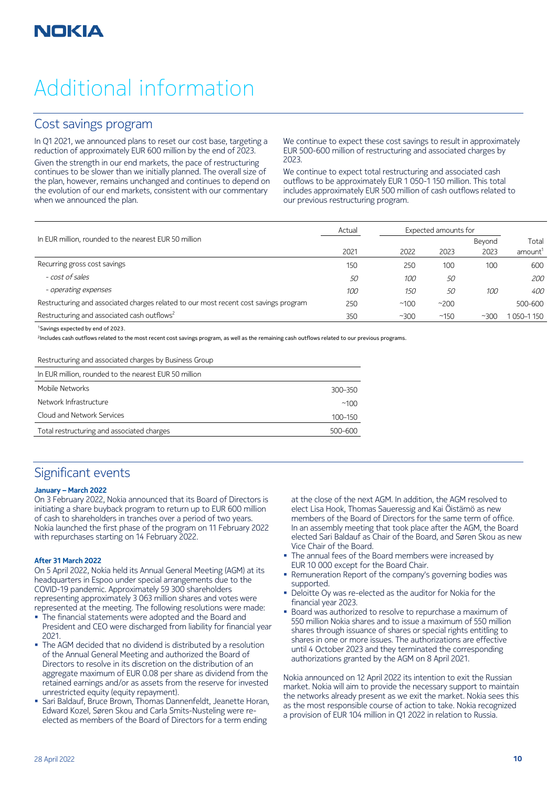# Additional information

## Cost savings program

In Q1 2021, we announced plans to reset our cost base, targeting a reduction of approximately EUR 600 million by the end of 2023. Given the strength in our end markets, the pace of restructuring continues to be slower than we initially planned. The overall size of the plan, however, remains unchanged and continues to depend on the evolution of our end markets, consistent with our commentary when we announced the plan.

We continue to expect these cost savings to result in approximately EUR 500-600 million of restructuring and associated charges by 2023.

We continue to expect total restructuring and associated cash outflows to be approximately EUR 1 050-1 150 million. This total includes approximately EUR 500 million of cash outflows related to our previous restructuring program.

|                                                                                      | Actual |      | Expected amounts for |        |                     |  |
|--------------------------------------------------------------------------------------|--------|------|----------------------|--------|---------------------|--|
| In EUR million, rounded to the nearest EUR 50 million                                |        |      |                      | Beyond | Total               |  |
|                                                                                      | 2021   | 2022 | 2023                 | 2023   | amount <sup>1</sup> |  |
| Recurring gross cost savings                                                         | 150    | 250  | 100                  | 100    | 600                 |  |
| - cost of sales                                                                      | 50     | 100  | 50                   |        | 200                 |  |
| - operating expenses                                                                 | 100    | 150  | 50                   | 100    | 400                 |  |
| Restructuring and associated charges related to our most recent cost savings program | 250    | ~100 | ~200                 |        | 500-600             |  |
| Restructuring and associated cash outflows <sup>2</sup>                              | 350    | ~100 | ~150                 | ~100   | 050-1150            |  |

#### <sup>1</sup>Savings expected by end of 2023.

2 Includes cash outflows related to the most recent cost savings program, as well as the remaining cash outflows related to our previous programs.

#### Restructuring and associated charges by Business Group

| In EUR million, rounded to the nearest EUR 50 million |             |
|-------------------------------------------------------|-------------|
| Mobile Networks                                       | 300-350     |
| Network Infrastructure                                | ~100        |
| Cloud and Network Services                            | 100-150     |
| Total restructuring and associated charges            | $500 - 600$ |

## Significant events

#### **January – March 2022**

On 3 February 2022, Nokia announced that its Board of Directors is initiating a share buyback program to return up to EUR 600 million of cash to shareholders in tranches over a period of two years. Nokia launched the first phase of the program on 11 February 2022 with repurchases starting on 14 February 2022.

#### **After 31 March 2022**

On 5 April 2022, Nokia held its Annual General Meeting (AGM) at its headquarters in Espoo under special arrangements due to the COVID-19 pandemic. Approximately 59 300 shareholders representing approximately 3 063 million shares and votes were represented at the meeting. The following resolutions were made:

- The financial statements were adopted and the Board and President and CEO were discharged from liability for financial year 2021.
- The AGM decided that no dividend is distributed by a resolution of the Annual General Meeting and authorized the Board of Directors to resolve in its discretion on the distribution of an aggregate maximum of EUR 0.08 per share as dividend from the retained earnings and/or as assets from the reserve for invested unrestricted equity (equity repayment).
- Sari Baldauf, Bruce Brown, Thomas Dannenfeldt, Jeanette Horan, Edward Kozel, Søren Skou and Carla Smits-Nusteling were reelected as members of the Board of Directors for a term ending

at the close of the next AGM. In addition, the AGM resolved to elect Lisa Hook, Thomas Saueressig and Kai Öistämö as new members of the Board of Directors for the same term of office. In an assembly meeting that took place after the AGM, the Board elected Sari Baldauf as Chair of the Board, and Søren Skou as new Vice Chair of the Board.

- The annual fees of the Board members were increased by EUR 10 000 except for the Board Chair.
- Remuneration Report of the company's governing bodies was supported.
- Deloitte Oy was re-elected as the auditor for Nokia for the financial year 2023.
- Board was authorized to resolve to repurchase a maximum of 550 million Nokia shares and to issue a maximum of 550 million shares through issuance of shares or special rights entitling to shares in one or more issues. The authorizations are effective until 4 October 2023 and they terminated the corresponding authorizations granted by the AGM on 8 April 2021.

Nokia announced on 12 April 2022 its intention to exit the Russian market. Nokia will aim to provide the necessary support to maintain the networks already present as we exit the market. Nokia sees this as the most responsible course of action to take. Nokia recognized a provision of EUR 104 million in Q1 2022 in relation to Russia.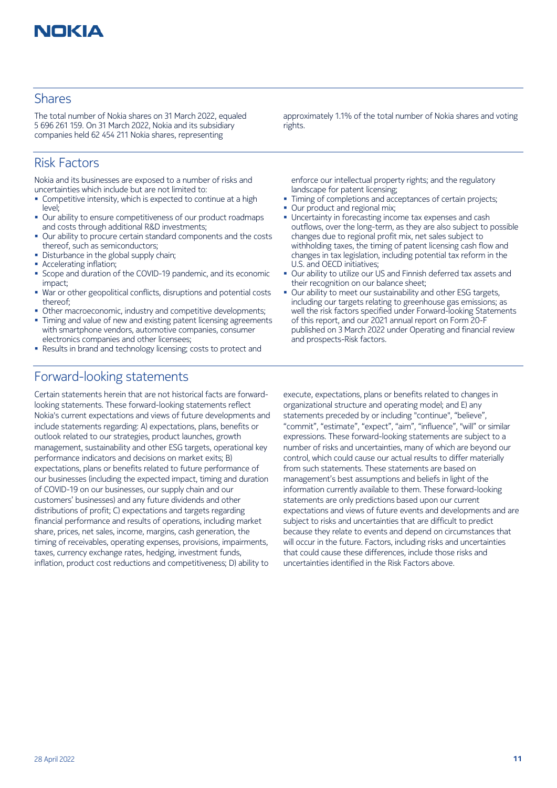

## Shares

The total number of Nokia shares on 31 March 2022, equaled 5 696 261 159. On 31 March 2022, Nokia and its subsidiary companies held 62 454 211 Nokia shares, representing

## Risk Factors

Nokia and its businesses are exposed to a number of risks and uncertainties which include but are not limited to:

- Competitive intensity, which is expected to continue at a high level;
- Our ability to ensure competitiveness of our product roadmaps and costs through additional R&D investments;
- Our ability to procure certain standard components and the costs thereof, such as semiconductors;
- Disturbance in the global supply chain;
- Accelerating inflation;
- Scope and duration of the COVID-19 pandemic, and its economic impact;
- War or other geopolitical conflicts, disruptions and potential costs thereof;
- Other macroeconomic, industry and competitive developments;
- Timing and value of new and existing patent licensing agreements with smartphone vendors, automotive companies, consumer electronics companies and other licensees;
- Results in brand and technology licensing; costs to protect and

## Forward-looking statements

Certain statements herein that are not historical facts are forwardlooking statements. These forward-looking statements reflect Nokia's current expectations and views of future developments and include statements regarding: A) expectations, plans, benefits or outlook related to our strategies, product launches, growth management, sustainability and other ESG targets, operational key performance indicators and decisions on market exits; B) expectations, plans or benefits related to future performance of our businesses (including the expected impact, timing and duration of COVID-19 on our businesses, our supply chain and our customers' businesses) and any future dividends and other distributions of profit; C) expectations and targets regarding financial performance and results of operations, including market share, prices, net sales, income, margins, cash generation, the timing of receivables, operating expenses, provisions, impairments, taxes, currency exchange rates, hedging, investment funds, inflation, product cost reductions and competitiveness; D) ability to

approximately 1.1% of the total number of Nokia shares and voting rights.

enforce our intellectual property rights; and the regulatory landscape for patent licensing;

- Timing of completions and acceptances of certain projects;
- Our product and regional mix;
- Uncertainty in forecasting income tax expenses and cash outflows, over the long-term, as they are also subject to possible changes due to regional profit mix, net sales subject to withholding taxes, the timing of patent licensing cash flow and changes in tax legislation, including potential tax reform in the U.S. and OECD initiatives;
- Our ability to utilize our US and Finnish deferred tax assets and their recognition on our balance sheet;
- Our ability to meet our sustainability and other ESG targets, including our targets relating to greenhouse gas emissions; as well the risk factors specified under Forward-looking Statements of this report, and our 2021 annual report on Form 20-F published on 3 March 2022 under Operating and financial review and prospects-Risk factors.

execute, expectations, plans or benefits related to changes in organizational structure and operating model; and E) any statements preceded by or including "continue", "believe", "commit", "estimate", "expect", "aim", "influence", "will" or similar expressions. These forward-looking statements are subject to a number of risks and uncertainties, many of which are beyond our control, which could cause our actual results to differ materially from such statements. These statements are based on management's best assumptions and beliefs in light of the information currently available to them. These forward-looking statements are only predictions based upon our current expectations and views of future events and developments and are subject to risks and uncertainties that are difficult to predict because they relate to events and depend on circumstances that will occur in the future. Factors, including risks and uncertainties that could cause these differences, include those risks and uncertainties identified in the Risk Factors above.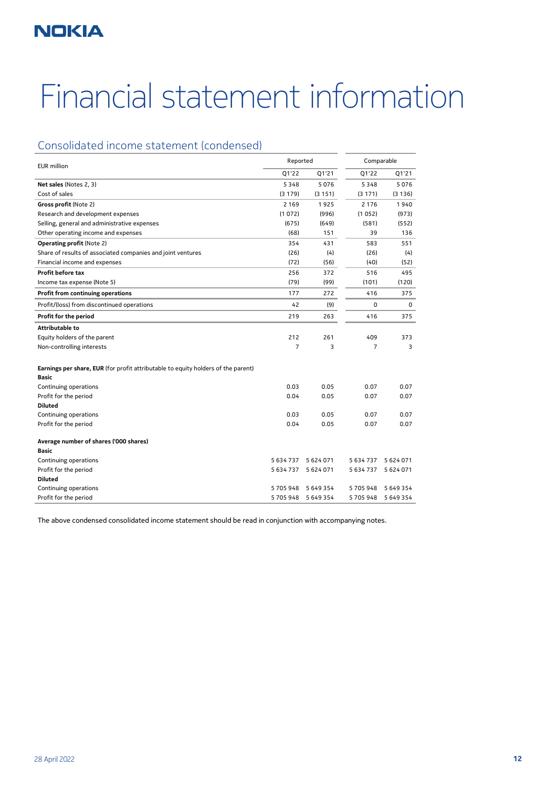# Financial statement information

## Consolidated income statement (condensed)

| <b>EUR</b> million                                                                         |                | Reported<br>Comparable |                |           |
|--------------------------------------------------------------------------------------------|----------------|------------------------|----------------|-----------|
|                                                                                            | Q1'22          | Q1'21                  | Q1'22          | Q1'21     |
| Net sales (Notes 2, 3)                                                                     | 5348           | 5076                   | 5348           | 5076      |
| Cost of sales                                                                              | (3179)         | (3151)                 | (3171)         | (3136)    |
| Gross profit (Note 2)                                                                      | 2 1 6 9        | 1925                   | 2 1 7 6        | 1940      |
| Research and development expenses                                                          | (1072)         | (996)                  | (1052)         | (973)     |
| Selling, general and administrative expenses                                               | (675)          | (649)                  | (581)          | (552)     |
| Other operating income and expenses                                                        | (68)           | 151                    | 39             | 136       |
| <b>Operating profit (Note 2)</b>                                                           | 354            | 431                    | 583            | 551       |
| Share of results of associated companies and joint ventures                                | (26)           | (4)                    | (26)           | (4)       |
| Financial income and expenses                                                              | (72)           | (56)                   | (40)           | (52)      |
| <b>Profit before tax</b>                                                                   | 256            | 372                    | 516            | 495       |
| Income tax expense (Note 5)                                                                | (79)           | (99)                   | (101)          | (120)     |
| Profit from continuing operations                                                          | 177            | 272                    | 416            | 375       |
| Profit/(loss) from discontinued operations                                                 | 42             | (9)                    | 0              | 0         |
| Profit for the period                                                                      | 219            | 263                    | 416            | 375       |
| Attributable to                                                                            |                |                        |                |           |
| Equity holders of the parent                                                               | 212            | 261                    | 409            | 373       |
| Non-controlling interests                                                                  | $\overline{7}$ | 3                      | $\overline{7}$ | 3         |
| Earnings per share, EUR (for profit attributable to equity holders of the parent)<br>Basic |                |                        |                |           |
| Continuing operations                                                                      | 0.03           | 0.05                   | 0.07           | 0.07      |
| Profit for the period                                                                      | 0.04           | 0.05                   | 0.07           | 0.07      |
| <b>Diluted</b>                                                                             |                |                        |                |           |
| Continuing operations                                                                      | 0.03           | 0.05                   | 0.07           | 0.07      |
| Profit for the period                                                                      | 0.04           | 0.05                   | 0.07           | 0.07      |
| Average number of shares ('000 shares)                                                     |                |                        |                |           |
| Basic                                                                                      |                |                        |                |           |
| Continuing operations                                                                      | 5 634 737      | 5 624 071              | 5 634 737      | 5 624 071 |
| Profit for the period                                                                      | 5 634 737      | 5 624 071              | 5 634 737      | 5 624 071 |
| <b>Diluted</b>                                                                             |                |                        |                |           |
| Continuing operations                                                                      | 5705948        | 5 649 354              | 5705948        | 5 649 354 |
| Profit for the period                                                                      | 5705948        | 5 649 354              | 5705948        | 5 649 354 |

The above condensed consolidated income statement should be read in conjunction with accompanying notes.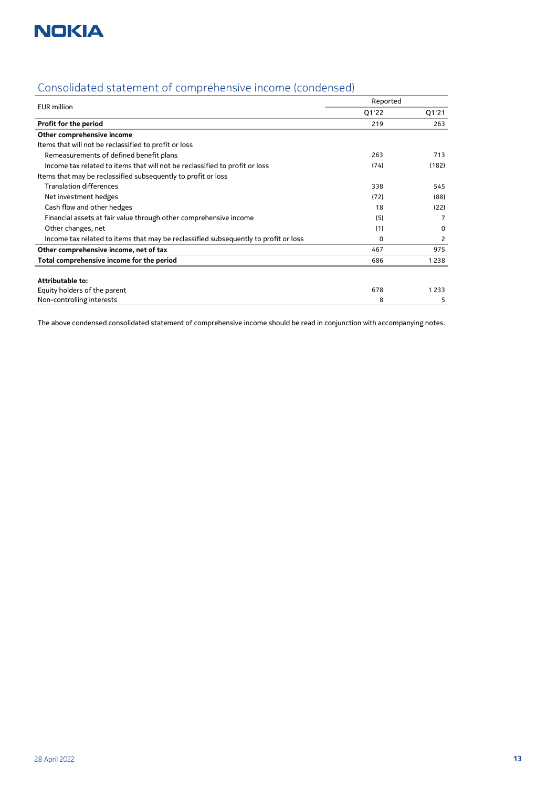

| Consolidated statement of comprehensive income (condensed) |  |  |  |
|------------------------------------------------------------|--|--|--|
|                                                            |  |  |  |
|                                                            |  |  |  |

| <b>EUR</b> million                                                                  | Reported |         |
|-------------------------------------------------------------------------------------|----------|---------|
|                                                                                     | Q1'22    | Q1'21   |
| Profit for the period                                                               | 219      | 263     |
| Other comprehensive income                                                          |          |         |
| Items that will not be reclassified to profit or loss                               |          |         |
| Remeasurements of defined benefit plans                                             | 263      | 713     |
| Income tax related to items that will not be reclassified to profit or loss         | (74)     | (182)   |
| Items that may be reclassified subsequently to profit or loss                       |          |         |
| <b>Translation differences</b>                                                      | 338      | 545     |
| Net investment hedges                                                               | (72)     | (88)    |
| Cash flow and other hedges                                                          | 18       | (22)    |
| Financial assets at fair value through other comprehensive income                   | (5)      | 7       |
| Other changes, net                                                                  | (1)      | 0       |
| Income tax related to items that may be reclassified subsequently to profit or loss | 0        | 2       |
| Other comprehensive income, net of tax                                              | 467      | 975     |
| Total comprehensive income for the period                                           | 686      | 1 2 3 8 |
|                                                                                     |          |         |
| Attributable to:                                                                    |          |         |
| Equity holders of the parent                                                        | 678      | 1 2 3 3 |
| Non-controlling interests                                                           | 8        | 5       |

The above condensed consolidated statement of comprehensive income should be read in conjunction with accompanying notes.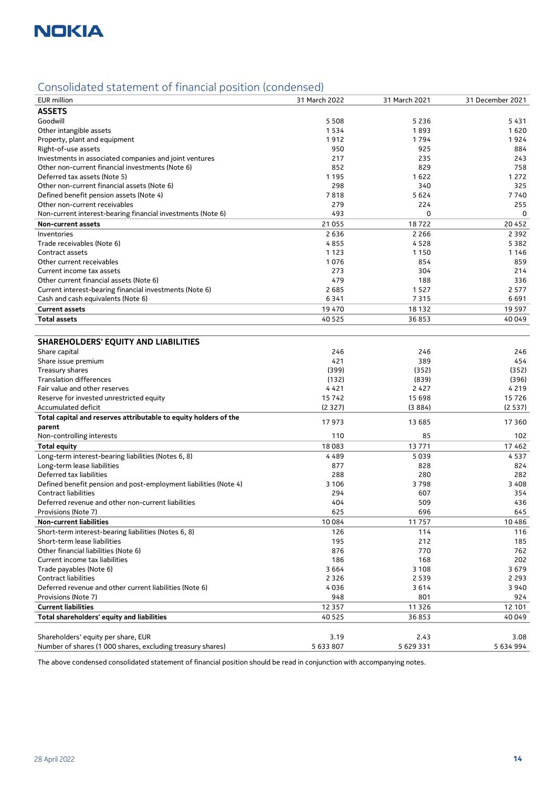

## Consolidated statement of financial position (condensed)

| <b>EUR</b> million                                               | 31 March 2022 | 31 March 2021 | 31 December 2021 |
|------------------------------------------------------------------|---------------|---------------|------------------|
| <b>ASSETS</b>                                                    |               |               |                  |
| Goodwill                                                         | 5 5 0 8       | 5 2 3 6       | 5431             |
| Other intangible assets                                          | 1534          | 1893          | 1620             |
| Property, plant and equipment                                    | 1912          | 1794          | 1924             |
| Right-of-use assets                                              | 950           | 925           | 884              |
| Investments in associated companies and joint ventures           | 217           | 235           | 243              |
| Other non-current financial investments (Note 6)                 | 852           | 829           | 758              |
| Deferred tax assets (Note 5)                                     | 1 1 9 5       | 1622          | 1 2 7 2          |
| Other non-current financial assets (Note 6)                      | 298           | 340           | 325              |
| Defined benefit pension assets (Note 4)                          | 7818          | 5624          | 7740             |
| Other non-current receivables                                    | 279           | 224           | 255              |
| Non-current interest-bearing financial investments (Note 6)      | 493           | $\mathbf 0$   | 0                |
| Non-current assets                                               | 21 055        | 18722         | 20452            |
| Inventories                                                      | 2636          | 2 2 6 6       | 2 3 9 2          |
| Trade receivables (Note 6)                                       | 4855          | 4528          | 5382             |
| Contract assets                                                  | 1123          | 1150          | 1146             |
| Other current receivables                                        | 1076          | 854           | 859              |
| Current income tax assets                                        | 273           | 304           | 214              |
| Other current financial assets (Note 6)                          | 479           | 188           | 336              |
| Current interest-bearing financial investments (Note 6)          | 2685          | 1527          | 2577             |
| Cash and cash equivalents (Note 6)                               | 6341          | 7315          | 6691             |
| <b>Current assets</b>                                            | 19470         | 18 132        | 19 5 9 7         |
| <b>Total assets</b>                                              | 40 5 25       | 36853         | 40 049           |
|                                                                  |               |               |                  |
| <b>SHAREHOLDERS' EQUITY AND LIABILITIES</b>                      |               |               |                  |
| Share capital                                                    | 246           | 246           | 246              |
| Share issue premium                                              | 421           | 389           | 454              |
| Treasury shares                                                  | (399)         | (352)         | (352)            |
| <b>Translation differences</b>                                   | (132)         | (839)         | (396)            |
| Fair value and other reserves                                    | 4421          | 2427          | 4219             |
| Reserve for invested unrestricted equity                         | 15742         | 15 698        | 15726            |
| Accumulated deficit                                              | (2327)        | (3884)        | (2537)           |
| Total capital and reserves attributable to equity holders of the | 17973         | 13 685        | 17 3 60          |
| parent                                                           |               |               |                  |
| Non-controlling interests                                        | 110           | 85            | 102              |
| <b>Total equity</b>                                              | 18083         | 13771         | 17462            |
| Long-term interest-bearing liabilities (Notes 6, 8)              | 4489          | 5039          | 4537             |
| Long-term lease liabilities                                      | 877           | 828           | 824              |
| Deferred tax liabilities                                         | 288           | 280           | 282              |
| Defined benefit pension and post-employment liabilities (Note 4) | 3 1 0 6       | 3798          | 3408             |
| <b>Contract liabilities</b>                                      | 294           | 607           | 354              |
| Deferred revenue and other non-current liabilities               | 404           | 509           | 436              |
| Provisions (Note 7)                                              | 625           | 696           | 645              |
| <b>Non-current liabilities</b>                                   | 10084         | 11 7 5 7      | 10486            |
| Short-term interest-bearing liabilities (Notes 6, 8)             | 126           | 114           | 116              |
| Short-term lease liabilities                                     | 195           | 212           | 185              |
| Other financial liabilities (Note 6)                             | 876           | 770           | 762              |
| Current income tax liabilities                                   | 186           | 168           | 202              |
| Trade payables (Note 6)                                          | 3 6 6 4       | 3 1 0 8       | 3679             |
| Contract liabilities                                             | 2 3 2 6       | 2 5 3 9       | 2 2 9 3          |
| Deferred revenue and other current liabilities (Note 6)          | 4036          | 3614          | 3940             |
| Provisions (Note 7)                                              | 948           | 801           | 924              |
| <b>Current liabilities</b>                                       | 12 3 5 7      | 11 3 26       | 12 101           |
| Total shareholders' equity and liabilities                       | 40 5 25       | 36853         | 40049            |
|                                                                  |               |               |                  |
| Shareholders' equity per share, EUR                              | 3.19          | 2.43          | 3.08             |
| Number of shares (1 000 shares, excluding treasury shares)       | 5 633 807     | 5 629 331     | 5 634 994        |

The above condensed consolidated statement of financial position should be read in conjunction with accompanying notes.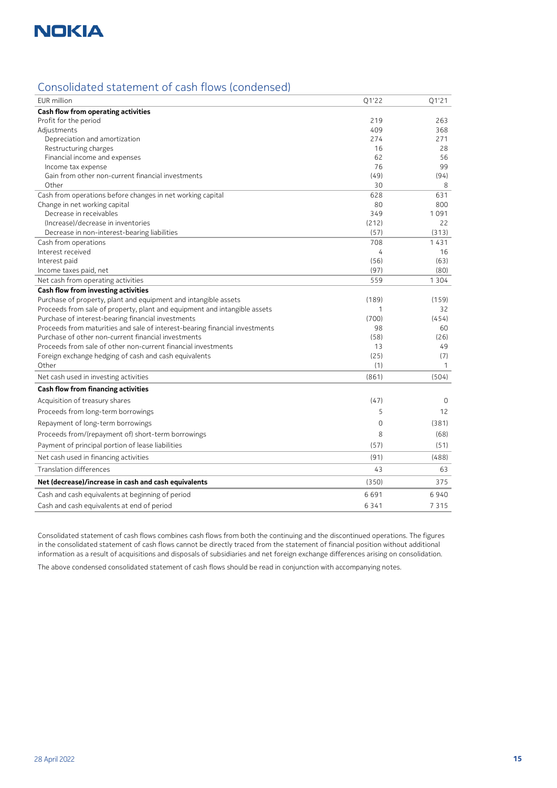

## Consolidated statement of cash flows (condensed)

| EUR million                                                                 | Q1'22 | Q1'21             |
|-----------------------------------------------------------------------------|-------|-------------------|
| <b>Cash flow from operating activities</b>                                  |       |                   |
| Profit for the period                                                       | 219   | 263               |
| Adjustments                                                                 | 409   | 368               |
| Depreciation and amortization                                               | 274   | 271               |
| Restructuring charges                                                       | 16    | 28                |
| Financial income and expenses                                               | 62    | 56                |
| Income tax expense                                                          | 76    | 99                |
| Gain from other non-current financial investments                           | (49)  | (94)              |
| Other                                                                       | 30    | 8                 |
| Cash from operations before changes in net working capital                  | 628   | 631               |
| Change in net working capital                                               | 80    | 800               |
| Decrease in receivables                                                     | 349   | 1091              |
| (Increase)/decrease in inventories                                          | (212) | 22                |
| Decrease in non-interest-bearing liabilities                                | (57)  | (313)             |
| Cash from operations                                                        | 708   | 1431              |
| Interest received                                                           | 4     | 16                |
| Interest paid                                                               | (56)  | (63)              |
| Income taxes paid, net                                                      | (97)  | (80)              |
| Net cash from operating activities                                          | 559   | 1 3 0 4           |
| <b>Cash flow from investing activities</b>                                  |       |                   |
| Purchase of property, plant and equipment and intangible assets             | (189) | (159)             |
| Proceeds from sale of property, plant and equipment and intangible assets   | 1     | 32                |
| Purchase of interest-bearing financial investments                          | (700) | (454)             |
| Proceeds from maturities and sale of interest-bearing financial investments | 98    | 60                |
| Purchase of other non-current financial investments                         | (58)  | (26)              |
| Proceeds from sale of other non-current financial investments               | 13    | 49                |
| Foreign exchange hedging of cash and cash equivalents                       | (25)  | (7)               |
| Other                                                                       | (1)   | 1                 |
| Net cash used in investing activities                                       | (861) | (504)             |
| <b>Cash flow from financing activities</b>                                  |       |                   |
| Acquisition of treasury shares                                              | (47)  | 0                 |
| Proceeds from long-term borrowings                                          | 5     | $12 \overline{ }$ |
| Repayment of long-term borrowings                                           | 0     | (381)             |
| Proceeds from/(repayment of) short-term borrowings                          | 8     | (68)              |
| Payment of principal portion of lease liabilities                           | (57)  | (51)              |
| Net cash used in financing activities                                       | (91)  | (488)             |
| Translation differences                                                     | 43    | 63                |
| Net (decrease)/increase in cash and cash equivalents                        | (350) | 375               |
| Cash and cash equivalents at beginning of period                            | 6691  | 6940              |
| Cash and cash equivalents at end of period                                  | 6341  | 7315              |

Consolidated statement of cash flows combines cash flows from both the continuing and the discontinued operations. The figures in the consolidated statement of cash flows cannot be directly traced from the statement of financial position without additional information as a result of acquisitions and disposals of subsidiaries and net foreign exchange differences arising on consolidation.

The above condensed consolidated statement of cash flows should be read in conjunction with accompanying notes.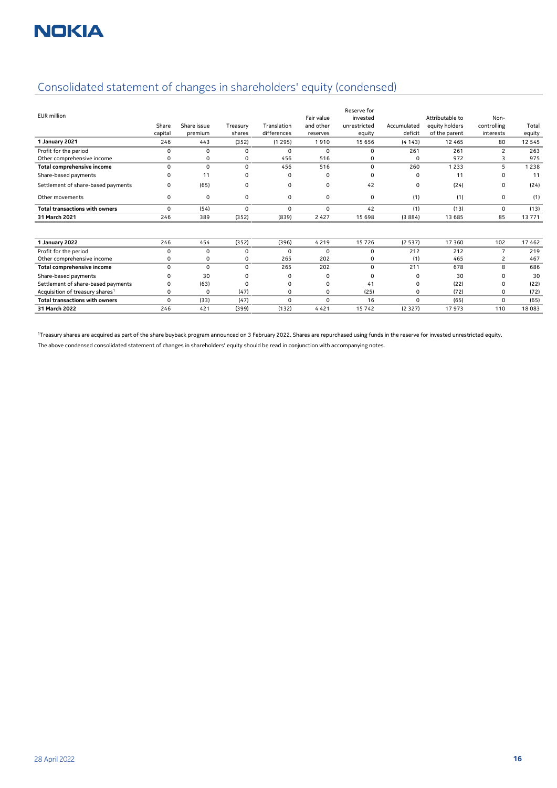## Consolidated statement of changes in shareholders' equity (condensed)

| <b>EUR</b> million                          | Share<br>capital | Share issue<br>premium | Treasury<br>shares | Translation<br>differences | Fair value<br>and other<br>reserves | Reserve for<br>invested<br>unrestricted<br>equity | Accumulated<br>deficit | Attributable to<br>equity holders<br>of the parent | Non-<br>controlling<br>interests | Total<br>equity |
|---------------------------------------------|------------------|------------------------|--------------------|----------------------------|-------------------------------------|---------------------------------------------------|------------------------|----------------------------------------------------|----------------------------------|-----------------|
| 1 January 2021                              | 246              | 443                    | (352)              | (1295)                     | 1910                                | 15 656                                            | (4143)                 | 12 4 6 5                                           | 80                               | 12 5 4 5        |
| Profit for the period                       | $\Omega$         | $\Omega$               | $\Omega$           | $\mathbf 0$                | $\Omega$                            | 0                                                 | 261                    | 261                                                | 2                                | 263             |
| Other comprehensive income                  | 0                | 0                      | $\Omega$           | 456                        | 516                                 | $\Omega$                                          | 0                      | 972                                                | 3                                | 975             |
| Total comprehensive income                  | $\Omega$         | $\Omega$               | 0                  | 456                        | 516                                 | $\Omega$                                          | 260                    | 1 2 3 3                                            | 5                                | 1 2 3 8         |
| Share-based payments                        | O                | 11                     | 0                  | $\Omega$                   | 0                                   | $\Omega$                                          | 0                      | 11                                                 | $\Omega$                         | 11              |
| Settlement of share-based payments          | 0                | (65)                   | $\Omega$           | 0                          | 0                                   | 42                                                | 0                      | (24)                                               | $\Omega$                         | (24)            |
| Other movements                             | 0                | 0                      | 0                  | 0                          | 0                                   | $\mathbf 0$                                       | (1)                    | (1)                                                | 0                                | (1)             |
| <b>Total transactions with owners</b>       | $\Omega$         | (54)                   | $\Omega$           | 0                          | 0                                   | 42                                                | (1)                    | (13)                                               | $\Omega$                         | (13)            |
| 31 March 2021                               | 246              | 389                    | (352)              | (839)                      | 2 4 2 7                             | 15 6 98                                           | (3884)                 | 13 685                                             | 85                               | 13771           |
|                                             |                  |                        |                    |                            |                                     |                                                   |                        |                                                    |                                  |                 |
| 1 January 2022                              | 246              | 454                    | (352)              | (396)                      | 4 2 1 9                             | 15726                                             | (2537)                 | 17 3 60                                            | 102                              | 17462           |
| Profit for the period                       | $\Omega$         | 0                      | 0                  | $\Omega$                   | 0                                   | 0                                                 | 212                    | 212                                                | 7                                | 219             |
| Other comprehensive income                  | 0                | 0                      | 0                  | 265                        | 202                                 | $\Omega$                                          | (1)                    | 465                                                | 2                                | 467             |
| <b>Total comprehensive income</b>           | $\mathbf 0$      | $\mathbf 0$            | 0                  | 265                        | 202                                 | 0                                                 | 211                    | 678                                                | 8                                | 686             |
| Share-based payments                        | O                | 30                     | O                  | $\Omega$                   | 0                                   | $\Omega$                                          | 0                      | 30                                                 | 0                                | 30              |
| Settlement of share-based payments          | 0                | (63)                   | 0                  | $\Omega$                   | 0                                   | 41                                                | 0                      | (22)                                               | 0                                | (22)            |
| Acquisition of treasury shares <sup>1</sup> | $\Omega$         | $\Omega$               | (47)               | 0                          | $\Omega$                            | (25)                                              | 0                      | (72)                                               | 0                                | (72)            |
| <b>Total transactions with owners</b>       | $\Omega$         | (33)                   | (47)               | 0                          | 0                                   | 16                                                | 0                      | (65)                                               | 0                                | (65)            |
| 31 March 2022                               | 246              | 421                    | (399)              | (132)                      | 4 4 2 1                             | 15742                                             | (2327)                 | 17 973                                             | 110                              | 18 083          |

<sup>1</sup>Treasury shares are acquired as part of the share buyback program announced on 3 February 2022. Shares are repurchased using funds in the reserve for invested unrestricted equity.

The above condensed consolidated statement of changes in shareholders' equity should be read in conjunction with accompanying notes.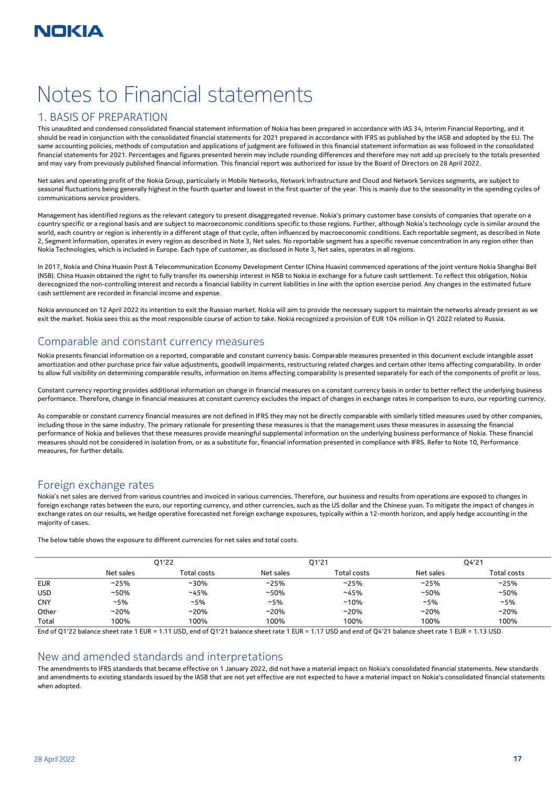# Notes to Financial statements

## 1. BASIS OF PREPARATION

This unaudited and condensed consolidated financial statement information of Nokia has been prepared in accordance with IAS 34, Interim Financial Reporting, and it should be read in conjunction with the consolidated financial statements for 2021 prepared in accordance with IFRS as published by the IASB and adopted by the EU. The same accounting policies, methods of computation and applications of judgment are followed in this financial statement information as was followed in the consolidated financial statements for 2021. Percentages and figures presented herein may include rounding differences and therefore may not add up precisely to the totals presented and may vary from previously published financial information. This financial report was authorized for issue by the Board of Directors on 28 April 2022.

Net sales and operating profit of the Nokia Group, particularly in Mobile Networks, Network Infrastructure and Cloud and Network Services segments, are subject to seasonal fluctuations being generally highest in the fourth quarter and lowest in the first quarter of the year. This is mainly due to the seasonality in the spending cycles of communications service providers.

Management has identified regions as the relevant category to present disaggregated revenue. Nokia's primary customer base consists of companies that operate on a country specific or a regional basis and are subject to macroeconomic conditions specific to those regions. Further, although Nokia's technology cycle is similar around the world, each country or region is inherently in a different stage of that cycle, often influenced by macroeconomic conditions. Each reportable segment, as described in Note 2, Segment information, operates in every region as described in Note 3, Net sales. No reportable segment has a specific revenue concentration in any region other than Nokia Technologies, which is included in Europe. Each type of customer, as disclosed in Note 3, Net sales, operates in all regions.

In 2017, Nokia and China Huaxin Post & Telecommunication Economy Development Center (China Huaxin) commenced operations of the joint venture Nokia Shanghai Bell (NSB). China Huaxin obtained the right to fully transfer its ownership interest in NSB to Nokia in exchange for a future cash settlement. To reflect this obligation, Nokia derecognized the non-controlling interest and records a financial liability in current liabilities in line with the option exercise period. Any changes in the estimated future cash settlement are recorded in financial income and expense.

Nokia announced on 12 April 2022 its intention to exit the Russian market. Nokia will aim to provide the necessary support to maintain the networks already present as we exit the market. Nokia sees this as the most responsible course of action to take. Nokia recognized a provision of EUR 104 million in Q1 2022 related to Russia.

## Comparable and constant currency measures

Nokia presents financial information on a reported, comparable and constant currency basis. Comparable measures presented in this document exclude intangible asset amortization and other purchase price fair value adjustments, goodwill impairments, restructuring related charges and certain other items affecting comparability. In order to allow full visibility on determining comparable results, information on items affecting comparability is presented separately for each of the components of profit or loss.

Constant currency reporting provides additional information on change in financial measures on a constant currency basis in order to better reflect the underlying business performance. Therefore, change in financial measures at constant currency excludes the impact of changes in exchange rates in comparison to euro, our reporting currency.

As comparable or constant currency financial measures are not defined in IFRS they may not be directly comparable with similarly titled measures used by other companies, including those in the same industry. The primary rationale for presenting these measures is that the management uses these measures in assessing the financial performance of Nokia and believes that these measures provide meaningful supplemental information on the underlying business performance of Nokia. These financial measures should not be considered in isolation from, or as a substitute for, financial information presented in compliance with IFRS. Refer to Note 10, Performance measures, for further details.

## Foreign exchange rates

Nokia's net sales are derived from various countries and invoiced in various currencies. Therefore, our business and results from operations are exposed to changes in foreign exchange rates between the euro, our reporting currency, and other currencies, such as the US dollar and the Chinese yuan. To mitigate the impact of changes in exchange rates on our results, we hedge operative forecasted net foreign exchange exposures, typically within a 12-month horizon, and apply hedge accounting in the majority of cases.

The below table shows the exposure to different currencies for net sales and total costs.

|            | Q1'22     |             |           | Q1'21       | Q4'21     |             |  |
|------------|-----------|-------------|-----------|-------------|-----------|-------------|--|
|            | Net sales | Total costs | Net sales | Total costs | Net sales | Total costs |  |
| <b>EUR</b> | ~25%      | $~10\%$     | ~25%      | ~25%        | ~25%      | ~25%        |  |
| <b>USD</b> | $~10\%$   | ~145%       | $~10\%$   | ~145%       | $~150\%$  | $~150\%$    |  |
| <b>CNY</b> | $~15\%$   | $~15\%$     | ~15%      | $~10\%$     | $~15\%$   | ~15%        |  |
| Other      | ~20%      | $~20\%$     | $~20\%$   | $~20\%$     | $~20\%$   | $~20\%$     |  |
| Total      | 100%      | 100%        | 100%      | 100%        | 100%      | 100%        |  |

End of Q1'22 balance sheet rate 1 EUR = 1.11 USD, end of Q1'21 balance sheet rate 1 EUR = 1.17 USD and end of Q4'21 balance sheet rate 1 EUR = 1.13 USD

#### New and amended standards and interpretations

The amendments to IFRS standards that became effective on 1 January 2022, did not have a material impact on Nokia's consolidated financial statements. New standards and amendments to existing standards issued by the IASB that are not yet effective are not expected to have a material impact on Nokia's consolidated financial statements when adopted.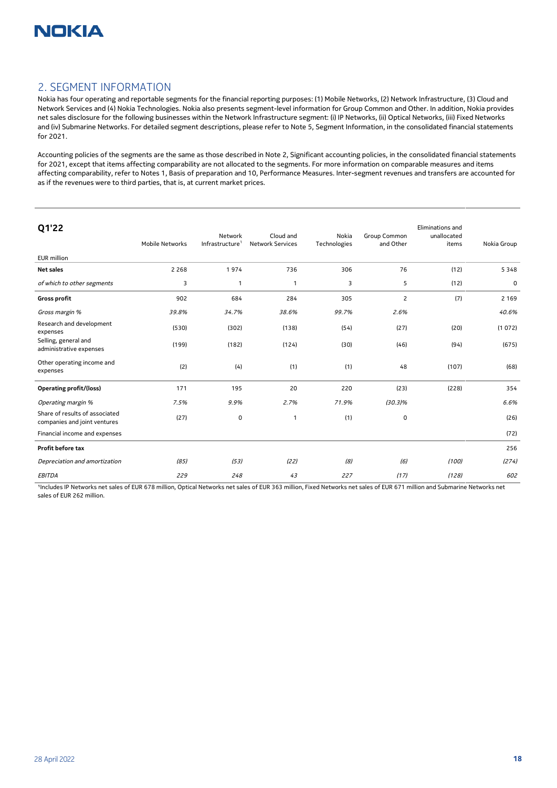

### 2. SEGMENT INFORMATION

Nokia has four operating and reportable segments for the financial reporting purposes: (1) Mobile Networks, (2) Network Infrastructure, (3) Cloud and Network Services and (4) Nokia Technologies. Nokia also presents segment-level information for Group Common and Other. In addition, Nokia provides net sales disclosure for the following businesses within the Network Infrastructure segment: (i) IP Networks, (ii) Optical Networks, (iii) Fixed Networks and (iv) Submarine Networks. For detailed segment descriptions, please refer to Note 5, Segment Information, in the consolidated financial statements for 2021.

Accounting policies of the segments are the same as those described in Note 2, Significant accounting policies, in the consolidated financial statements for 2021, except that items affecting comparability are not allocated to the segments. For more information on comparable measures and items affecting comparability, refer to Notes 1, Basis of preparation and 10, Performance Measures. Inter-segment revenues and transfers are accounted for as if the revenues were to third parties, that is, at current market prices.

| Q1'22<br>EUR million                                           | Mobile Networks | Network<br>Infrastructure <sup>1</sup> | Cloud and<br><b>Network Services</b> | Nokia<br>Technologies | Group Common<br>and Other | Eliminations and<br>unallocated<br>items | Nokia Group |
|----------------------------------------------------------------|-----------------|----------------------------------------|--------------------------------------|-----------------------|---------------------------|------------------------------------------|-------------|
| <b>Net sales</b>                                               | 2 2 6 8         | 1974                                   | 736                                  | 306                   | 76                        | (12)                                     | 5348        |
| of which to other segments                                     | 3               | 1                                      | 1                                    | 3                     | 5                         | (12)                                     | 0           |
| <b>Gross profit</b>                                            | 902             | 684                                    | 284                                  | 305                   | $\overline{c}$            | (7)                                      | 2 1 6 9     |
| Gross margin %                                                 | 39.8%           | 34.7%                                  | 38.6%                                | 99.7%                 | 2.6%                      |                                          | 40.6%       |
| Research and development<br>expenses                           | (530)           | (302)                                  | (138)                                | (54)                  | (27)                      | (20)                                     | (1072)      |
| Selling, general and<br>administrative expenses                | (199)           | (182)                                  | (124)                                | (30)                  | (46)                      | (94)                                     | (675)       |
| Other operating income and<br>expenses                         | (2)             | (4)                                    | (1)                                  | (1)                   | 48                        | (107)                                    | (68)        |
| <b>Operating profit/(loss)</b>                                 | 171             | 195                                    | 20                                   | 220                   | (23)                      | (228)                                    | 354         |
| Operating margin %                                             | 7.5%            | 9.9%                                   | 2.7%                                 | 71.9%                 | $(30.3)\%$                |                                          | 6.6%        |
| Share of results of associated<br>companies and joint ventures | (27)            | 0                                      | 1                                    | (1)                   | 0                         |                                          | (26)        |
| Financial income and expenses                                  |                 |                                        |                                      |                       |                           |                                          | (72)        |
| Profit before tax                                              |                 |                                        |                                      |                       |                           |                                          | 256         |
| Depreciation and amortization                                  | (85)            | (53)                                   | (22)                                 | (8)                   | (6)                       | (100)                                    | (274)       |
| <b>EBITDA</b>                                                  | 229             | 248                                    | 43                                   | 227                   | (17)                      | (128)                                    | 602         |

1Includes IP Networks net sales of EUR 678 million, Optical Networks net sales of EUR 363 million, Fixed Networks net sales of EUR 671 million and Submarine Networks net sales of EUR 262 million.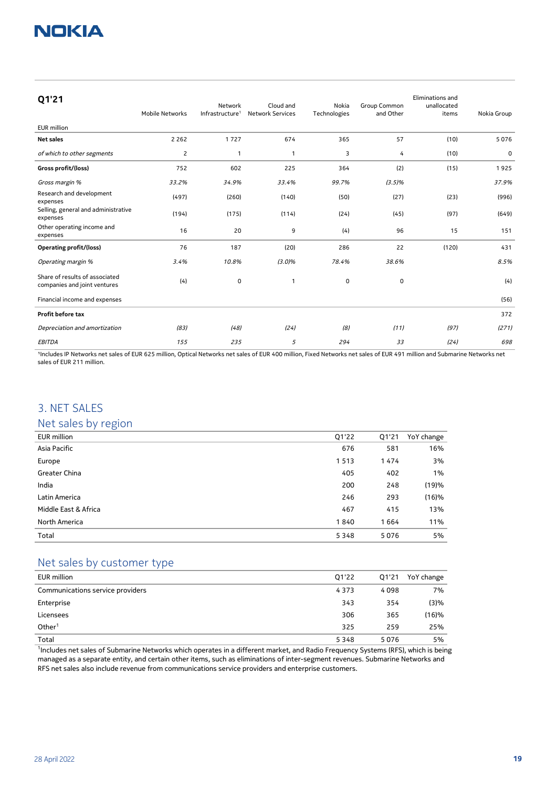| Q1'21                                                          | Mobile Networks | Network<br>Infrastructure <sup>1</sup> | Cloud and<br><b>Network Services</b> | Nokia<br>Technologies | Group Common<br>and Other | Eliminations and<br>unallocated<br>items | Nokia Group |
|----------------------------------------------------------------|-----------------|----------------------------------------|--------------------------------------|-----------------------|---------------------------|------------------------------------------|-------------|
| <b>EUR</b> million                                             |                 |                                        |                                      |                       |                           |                                          |             |
| <b>Net sales</b>                                               | 2 2 6 2         | 1727                                   | 674                                  | 365                   | 57                        | (10)                                     | 5076        |
| of which to other segments                                     | $\overline{2}$  | 1                                      | $\mathbf{1}$                         | 3                     | 4                         | (10)                                     | 0           |
| Gross profit/(loss)                                            | 752             | 602                                    | 225                                  | 364                   | (2)                       | (15)                                     | 1925        |
| Gross margin %                                                 | 33.2%           | 34.9%                                  | 33.4%                                | 99.7%                 | (3.5)%                    |                                          | 37.9%       |
| Research and development<br>expenses                           | (497)           | (260)                                  | (140)                                | (50)                  | (27)                      | (23)                                     | (996)       |
| Selling, general and administrative<br>expenses                | (194)           | (175)                                  | (114)                                | (24)                  | (45)                      | (97)                                     | (649)       |
| Other operating income and<br>expenses                         | 16              | 20                                     | 9                                    | (4)                   | 96                        | 15                                       | 151         |
| <b>Operating profit/(loss)</b>                                 | 76              | 187                                    | (20)                                 | 286                   | 22                        | (120)                                    | 431         |
| Operating margin %                                             | 3.4%            | 10.8%                                  | (3.0%                                | 78.4%                 | 38.6%                     |                                          | 8.5%        |
| Share of results of associated<br>companies and joint ventures | (4)             | 0                                      | $\mathbf{1}$                         | 0                     | 0                         |                                          | (4)         |
| Financial income and expenses                                  |                 |                                        |                                      |                       |                           |                                          | (56)        |
| Profit before tax                                              |                 |                                        |                                      |                       |                           |                                          | 372         |
| Depreciation and amortization                                  | (83)            | (48)                                   | (24)                                 | (8)                   | (11)                      | (97)                                     | (271)       |
| <b>EBITDA</b>                                                  | 155             | 235                                    | 5                                    | 294                   | 33                        | (24)                                     | 698         |

<sup>1</sup>Includes IP Networks net sales of EUR 625 million, Optical Networks net sales of EUR 400 million, Fixed Networks net sales of EUR 491 million and Submarine Networks net sales of EUR 211 million.

## 3. NET SALES

## Net sales by region

| EUR million          | Q1'22 | Q1'21 | YoY change |
|----------------------|-------|-------|------------|
| Asia Pacific         | 676   | 581   | 16%        |
| Europe               | 1513  | 1474  | 3%         |
| Greater China        | 405   | 402   | 1%         |
| India                | 200   | 248   | (19)%      |
| Latin America        | 246   | 293   | (16)%      |
| Middle East & Africa | 467   | 415   | 13%        |
| North America        | 1840  | 1664  | 11%        |
| Total                | 5348  | 5076  | 5%         |

## Net sales by customer type

| EUR million                      | Q1'22 | Q1'21 | YoY change |
|----------------------------------|-------|-------|------------|
| Communications service providers | 4373  | 4098  | 7%         |
| Enterprise                       | 343   | 354   | (3)%       |
| Licensees                        | 306   | 365   | (16)%      |
| Other <sup>1</sup>               | 325   | 259   | 25%        |
| Total                            | 5348  | 5076  | 5%         |

<sup>1</sup>Includes net sales of Submarine Networks which operates in a different market, and Radio Frequency Systems (RFS), which is being managed as a separate entity, and certain other items, such as eliminations of inter-segment revenues. Submarine Networks and RFS net sales also include revenue from communications service providers and enterprise customers.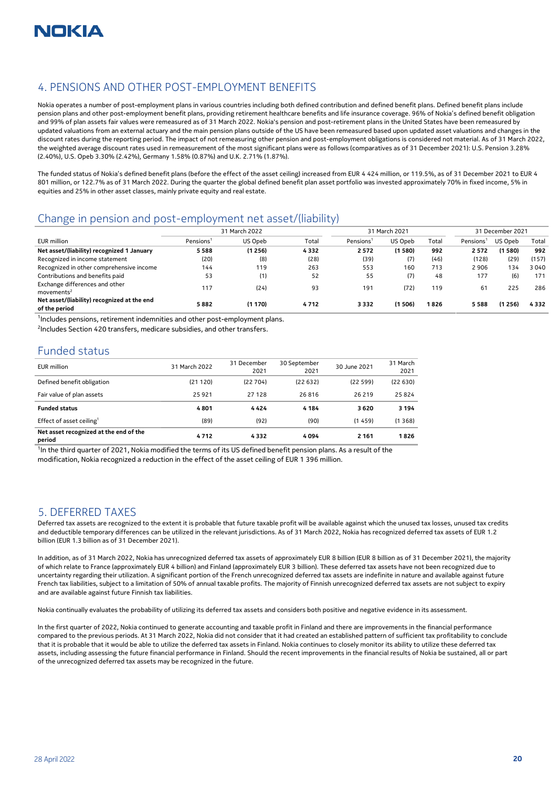## 4. PENSIONS AND OTHER POST-EMPLOYMENT BENEFITS

Nokia operates a number of post-employment plans in various countries including both defined contribution and defined benefit plans. Defined benefit plans include pension plans and other post-employment benefit plans, providing retirement healthcare benefits and life insurance coverage. 96% of Nokia's defined benefit obligation and 99% of plan assets fair values were remeasured as of 31 March 2022. Nokia's pension and post-retirement plans in the United States have been remeasured by updated valuations from an external actuary and the main pension plans outside of the US have been remeasured based upon updated asset valuations and changes in the discount rates during the reporting period. The impact of not remeasuring other pension and post-employment obligations is considered not material. As of 31 March 2022, the weighted average discount rates used in remeasurement of the most significant plans were as follows (comparatives as of 31 December 2021): U.S. Pension 3.28% (2.40%), U.S. Opeb 3.30% (2.42%), Germany 1.58% (0.87%) and U.K. 2.71% (1.87%).

The funded status of Nokia's defined benefit plans (before the effect of the asset ceiling) increased from EUR 4 424 million, or 119.5%, as of 31 December 2021 to EUR 4 801 million, or 122.7% as of 31 March 2022. During the quarter the global defined benefit plan asset portfolio was invested approximately 70% in fixed income, 5% in equities and 25% in other asset classes, mainly private equity and real estate.

## Change in pension and post-employment net asset/(liability)

|                                                              | 31 March 2022<br>31 March 2021 |         |       |                       | 31 December 2021 |       |                       |         |       |
|--------------------------------------------------------------|--------------------------------|---------|-------|-----------------------|------------------|-------|-----------------------|---------|-------|
| EUR million                                                  | Pensions <sup>1</sup>          | US Opeb | Total | Pensions <sup>1</sup> | US Opeb          | Total | Pensions <sup>1</sup> | US Opeb | Total |
| Net asset/(liability) recognized 1 January                   | 5588                           | (1256)  | 4332  | 2572                  | (1580)           | 992   | 2572                  | (1 580) | 992   |
| Recognized in income statement                               | (20)                           | (8)     | (28)  | (39)                  | (7)              | (46)  | (128)                 | (29)    | (157) |
| Recognized in other comprehensive income                     | 144                            | 119     | 263   | 553                   | 160              | 713   | 2906                  | 134     | 3040  |
| Contributions and benefits paid                              | 53                             | (1)     | 52    | 55                    | (7)              | 48    | 177                   | (6)     | 171   |
| Exchange differences and other<br>movements <sup>2</sup>     | 117                            | (24)    | 93    | 191                   | (72)             | 119   | 61                    | 225     | 286   |
| Net asset/(liability) recognized at the end<br>of the period | 5882                           | (1170)  | 4712  | 3332                  | (1506)           | 1826  | 5 588                 | (1 256) | 4332  |

<sup>1</sup>Includes pensions, retirement indemnities and other post-employment plans.

<sup>2</sup>Includes Section 420 transfers, medicare subsidies, and other transfers.

## Funded status

| EUR million                                      | 31 March 2022 | 31 December | 30 September | 30 June 2021 | 31 March |
|--------------------------------------------------|---------------|-------------|--------------|--------------|----------|
|                                                  |               | 2021        | 2021         |              | 2021     |
| Defined benefit obligation                       | (21120)       | (22704)     | (22632)      | (22599)      | (22630)  |
| Fair value of plan assets                        | 25 9 21       | 27128       | 26816        | 26 219       | 25824    |
| <b>Funded status</b>                             | 4801          | 4424        | 4 1 8 4      | 3620         | 3 1 9 4  |
| Effect of asset ceiling <sup>1</sup>             | (89)          | (92)        | (90)         | (1459)       | (1368)   |
| Net asset recognized at the end of the<br>period | 4712          | 4332        | 4 0 9 4      | 2 1 6 1      | 1826     |

<sup>1</sup>In the third quarter of 2021, Nokia modified the terms of its US defined benefit pension plans. As a result of the modification, Nokia recognized a reduction in the effect of the asset ceiling of EUR 1 396 million.

#### 5. DEFERRED TAXES

Deferred tax assets are recognized to the extent it is probable that future taxable profit will be available against which the unused tax losses, unused tax credits and deductible temporary differences can be utilized in the relevant jurisdictions. As of 31 March 2022, Nokia has recognized deferred tax assets of EUR 1.2 billion (EUR 1.3 billion as of 31 December 2021).

In addition, as of 31 March 2022, Nokia has unrecognized deferred tax assets of approximately EUR 8 billion (EUR 8 billion as of 31 December 2021), the majority of which relate to France (approximately EUR 4 billion) and Finland (approximately EUR 3 billion). These deferred tax assets have not been recognized due to uncertainty regarding their utilization. A significant portion of the French unrecognized deferred tax assets are indefinite in nature and available against future French tax liabilities, subject to a limitation of 50% of annual taxable profits. The majority of Finnish unrecognized deferred tax assets are not subject to expiry and are available against future Finnish tax liabilities.

Nokia continually evaluates the probability of utilizing its deferred tax assets and considers both positive and negative evidence in its assessment.

In the first quarter of 2022, Nokia continued to generate accounting and taxable profit in Finland and there are improvements in the financial performance compared to the previous periods. At 31 March 2022, Nokia did not consider that it had created an established pattern of sufficient tax profitability to conclude that it is probable that it would be able to utilize the deferred tax assets in Finland. Nokia continues to closely monitor its ability to utilize these deferred tax assets, including assessing the future financial performance in Finland. Should the recent improvements in the financial results of Nokia be sustained, all or part of the unrecognized deferred tax assets may be recognized in the future.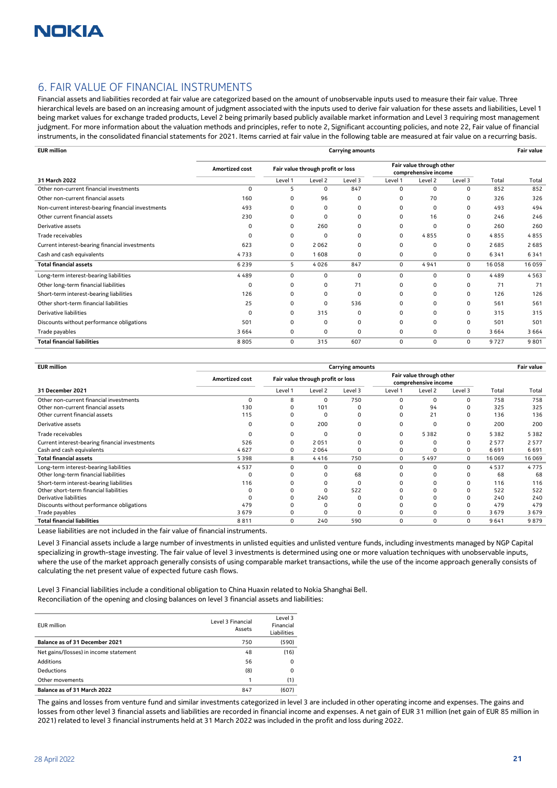## 6. FAIR VALUE OF FINANCIAL INSTRUMENTS

Financial assets and liabilities recorded at fair value are categorized based on the amount of unobservable inputs used to measure their fair value. Three hierarchical levels are based on an increasing amount of judgment associated with the inputs used to derive fair valuation for these assets and liabilities, Level 1 being market values for exchange traded products, Level 2 being primarily based publicly available market information and Level 3 requiring most management judgment. For more information about the valuation methods and principles, refer to note 2, Significant accounting policies, and note 22, Fair value of financial instruments, in the consolidated financial statements for 2021. Items carried at fair value in the following table are measured at fair value on a recurring basis.

| <b>EUR</b> million                                 |                | <b>Carrying amounts</b>           |         |          |                                                  |          |          |       | <b>Fair value</b> |
|----------------------------------------------------|----------------|-----------------------------------|---------|----------|--------------------------------------------------|----------|----------|-------|-------------------|
|                                                    | Amortized cost | Fair value through profit or loss |         |          | Fair value through other<br>comprehensive income |          |          |       |                   |
| 31 March 2022                                      |                | Level 1                           | Level 2 | Level 3  | Level 1                                          | Level 2  | Level 3  | Total | Total             |
| Other non-current financial investments            | 0              | 5                                 | 0       | 847      | $\Omega$                                         | 0        | $\Omega$ | 852   | 852               |
| Other non-current financial assets                 | 160            | $\Omega$                          | 96      | 0        | $\Omega$                                         | 70       | $\Omega$ | 326   | 326               |
| Non-current interest-bearing financial investments | 493            | O                                 | 0       | 0        | O                                                | 0        | $\Omega$ | 493   | 494               |
| Other current financial assets                     | 230            | O                                 | 0       | $\Omega$ | O                                                | 16       | $\Omega$ | 246   | 246               |
| Derivative assets                                  | $\Omega$       | $\Omega$                          | 260     | $\Omega$ | $\Omega$                                         | 0        | $\Omega$ | 260   | 260               |
| Trade receivables                                  | $\Omega$       | 0                                 | 0       | 0        | $\mathbf 0$                                      | 4855     | 0        | 4855  | 4855              |
| Current interest-bearing financial investments     | 623            | 0                                 | 2062    | 0        | 0                                                | 0        | 0        | 2685  | 2685              |
| Cash and cash equivalents                          | 4733           | 0                                 | 1 608   | 0        | $\Omega$                                         | 0        | 0        | 6341  | 6341              |
| <b>Total financial assets</b>                      | 6239           | 5                                 | 4026    | 847      | 0                                                | 4941     | 0        | 16058 | 16 059            |
| Long-term interest-bearing liabilities             | 4489           | $\Omega$                          | 0       | 0        | $\Omega$                                         | 0        | 0        | 4489  | 4563              |
| Other long-term financial liabilities              | 0              | $\Omega$                          | 0       | 71       | $\Omega$                                         | $\Omega$ | $\Omega$ | 71    | 71                |
| Short-term interest-bearing liabilities            | 126            | O                                 | 0       | $\Omega$ | O                                                | 0        | $\Omega$ | 126   | 126               |
| Other short-term financial liabilities             | 25             | O                                 | 0       | 536      | O                                                | $\Omega$ | $\Omega$ | 561   | 561               |
| Derivative liabilities                             | 0              | O                                 | 315     | $\Omega$ |                                                  | 0        | $\Omega$ | 315   | 315               |
| Discounts without performance obligations          | 501            | $\Omega$                          | 0       | $\Omega$ | O                                                | $\Omega$ | $\Omega$ | 501   | 501               |
| Trade payables                                     | 3 6 6 4        | 0                                 | 0       | 0        | 0                                                | 0        | 0        | 3664  | 3 6 6 4           |
| <b>Total financial liabilities</b>                 | 8805           | 0                                 | 315     | 607      | $\mathbf 0$                                      | 0        | 0        | 9727  | 9 8 0 1           |

| <b>EUR</b> million                             |                |          | <b>Carrying amounts</b>           |          |          |                                                  |          |       | <b>Fair value</b> |
|------------------------------------------------|----------------|----------|-----------------------------------|----------|----------|--------------------------------------------------|----------|-------|-------------------|
|                                                | Amortized cost |          | Fair value through profit or loss |          |          | Fair value through other<br>comprehensive income |          |       |                   |
| 31 December 2021                               |                | Level 1  | Level 2                           | Level 3  | Level 1  | Level 2                                          | Level 3  | Total | Total             |
| Other non-current financial investments        |                | Я        | 0                                 | 750      |          | 0                                                | ŋ        | 758   | 758               |
| Other non-current financial assets             | 130            |          | 101                               |          |          | 94                                               |          | 325   | 325               |
| Other current financial assets                 | 115            |          | 0                                 |          |          | 21                                               |          | 136   | 136               |
| Derivative assets                              |                | O        | 200                               | O        |          | 0                                                | 0        | 200   | 200               |
| Trade receivables                              |                |          | 0                                 |          |          | 5382                                             | U        | 5382  | 5382              |
| Current interest-bearing financial investments | 526            |          | 2051                              |          |          | 0                                                | 0        | 2577  | 2 5 7 7           |
| Cash and cash equivalents                      | 4627           | 0        | 2064                              |          |          | 0                                                | 0        | 6691  | 6691              |
| Total financial assets                         | 5398           | 8        | 4416                              | 750      | 0        | 5497                                             | $\Omega$ | 16069 | 16 069            |
| Long-term interest-bearing liabilities         | 4537           | $\Omega$ | 0                                 | $\Omega$ | n        | 0                                                | $\Omega$ | 4537  | 4775              |
| Other long-term financial liabilities          |                |          |                                   | 68       |          |                                                  |          | 68    | 68                |
| Short-term interest-bearing liabilities        | 116            |          |                                   | 0        |          |                                                  |          | 116   | 116               |
| Other short-term financial liabilities         |                |          | n                                 | 522      |          |                                                  |          | 522   | 522               |
| Derivative liabilities                         |                |          | 240                               |          |          |                                                  |          | 240   | 240               |
| Discounts without performance obligations      | 479            |          |                                   |          |          |                                                  |          | 479   | 479               |
| Trade payables                                 | 3679           |          | 0                                 | O        |          | 0                                                |          | 3679  | 3679              |
| <b>Total financial liabilities</b>             | 8811           | $\Omega$ | 240                               | 590      | $\Omega$ | $\Omega$                                         | 0        | 9641  | 9879              |

Lease liabilities are not included in the fair value of financial instruments.

Level 3 Financial assets include a large number of investments in unlisted equities and unlisted venture funds, including investments managed by NGP Capital specializing in growth-stage investing. The fair value of level 3 investments is determined using one or more valuation techniques with unobservable inputs, where the use of the market approach generally consists of using comparable market transactions, while the use of the income approach generally consists of calculating the net present value of expected future cash flows.

Level 3 Financial liabilities include a conditional obligation to China Huaxin related to Nokia Shanghai Bell. Reconciliation of the opening and closing balances on level 3 financial assets and liabilities:

| EUR million                            | Level 3 Financial<br>Assets | Level 3<br>Financial<br>Liabilities |
|----------------------------------------|-----------------------------|-------------------------------------|
| Balance as of 31 December 2021         | 750                         | (590)                               |
| Net gains/(losses) in income statement | 48                          | (16)                                |
| Additions                              | 56                          | 0                                   |
| <b>Deductions</b>                      | (8)                         | 0                                   |
| Other movements                        | 1                           | (1)                                 |
| Balance as of 31 March 2022            | 847                         | (607)                               |

The gains and losses from venture fund and similar investments categorized in level 3 are included in other operating income and expenses. The gains and losses from other level 3 financial assets and liabilities are recorded in financial income and expenses. A net gain of EUR 31 million (net gain of EUR 85 million in 2021) related to level 3 financial instruments held at 31 March 2022 was included in the profit and loss during 2022.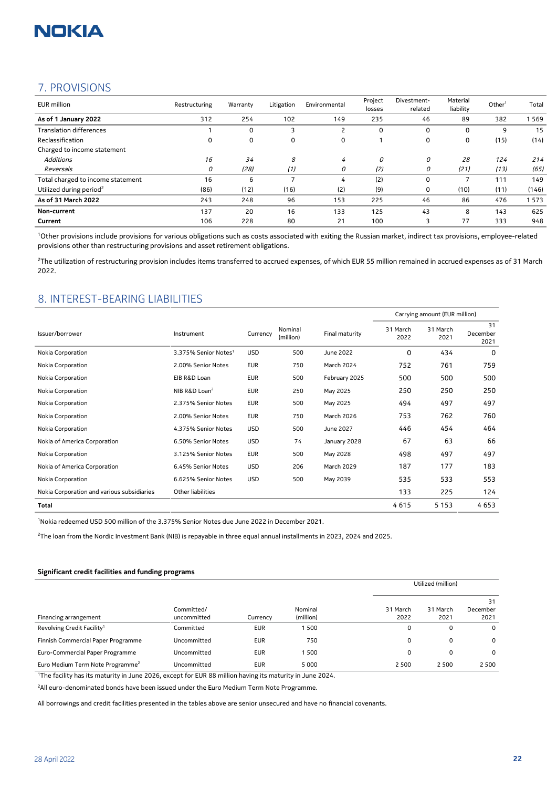

### 7. PROVISIONS

| <b>EUR</b> million                  | Restructuring | Warranty | Litigation | Environmental | Project<br>losses | Divestment-<br>related | Material<br>liability | Other <sup>1</sup> | Total |
|-------------------------------------|---------------|----------|------------|---------------|-------------------|------------------------|-----------------------|--------------------|-------|
| As of 1 January 2022                | 312           | 254      | 102        | 149           | 235               | 46                     | 89                    | 382                | 569   |
| <b>Translation differences</b>      |               | 0        | 3          |               | 0                 | 0                      | 0                     | 9                  | 15    |
| Reclassification                    | 0             | 0        | 0          | 0             |                   | 0                      | 0                     | (15)               | (14)  |
| Charged to income statement         |               |          |            |               |                   |                        |                       |                    |       |
| <b>Additions</b>                    | 16            | 34       | 8          | 4             | 0                 | 0                      | 28                    | 124                | 214   |
| Reversals                           | 0             | (28)     | (1)        | 0             | (2)               | 0                      | (21)                  | (13)               | (65)  |
| Total charged to income statement   | 16            | 6        |            | 4             | (2)               | 0                      |                       | 111                | 149   |
| Utilized during period <sup>2</sup> | (86)          | (12)     | (16)       | (2)           | (9)               | 0                      | (10)                  | (11)               | (146) |
| As of 31 March 2022                 | 243           | 248      | 96         | 153           | 225               | 46                     | 86                    | 476                | 573   |
| Non-current                         | 137           | 20       | 16         | 133           | 125               | 43                     | 8                     | 143                | 625   |
| Current                             | 106           | 228      | 80         | 21            | 100               |                        | 77                    | 333                | 948   |

<sup>1</sup>Other provisions include provisions for various obligations such as costs associated with exiting the Russian market, indirect tax provisions, employee-related provisions other than restructuring provisions and asset retirement obligations.

<sup>2</sup>The utilization of restructuring provision includes items transferred to accrued expenses, of which EUR 55 million remained in accrued expenses as of 31 March 2022.

### 8. INTEREST-BEARING LIABILITIES

|                                            |                                  |            |                      |                   | Carrying amount (EUR million) |                  |                        |
|--------------------------------------------|----------------------------------|------------|----------------------|-------------------|-------------------------------|------------------|------------------------|
| Issuer/borrower                            | Instrument                       | Currency   | Nominal<br>(million) | Final maturity    | 31 March<br>2022              | 31 March<br>2021 | 31<br>December<br>2021 |
| Nokia Corporation                          | 3.375% Senior Notes <sup>1</sup> | <b>USD</b> | 500                  | June 2022         | 0                             | 434              | 0                      |
| Nokia Corporation                          | 2.00% Senior Notes               | <b>EUR</b> | 750                  | March 2024        | 752                           | 761              | 759                    |
| Nokia Corporation                          | EIB R&D Loan                     | <b>EUR</b> | 500                  | February 2025     | 500                           | 500              | 500                    |
| Nokia Corporation                          | NIB R&D Loan <sup>2</sup>        | <b>EUR</b> | 250                  | May 2025          | 250                           | 250              | 250                    |
| Nokia Corporation                          | 2.375% Senior Notes              | <b>EUR</b> | 500                  | May 2025          | 494                           | 497              | 497                    |
| Nokia Corporation                          | 2.00% Senior Notes               | <b>EUR</b> | 750                  | <b>March 2026</b> | 753                           | 762              | 760                    |
| Nokia Corporation                          | 4.375% Senior Notes              | <b>USD</b> | 500                  | June 2027         | 446                           | 454              | 464                    |
| Nokia of America Corporation               | 6.50% Senior Notes               | <b>USD</b> | 74                   | January 2028      | 67                            | 63               | 66                     |
| Nokia Corporation                          | 3.125% Senior Notes              | EUR        | 500                  | May 2028          | 498                           | 497              | 497                    |
| Nokia of America Corporation               | 6.45% Senior Notes               | <b>USD</b> | 206                  | <b>March 2029</b> | 187                           | 177              | 183                    |
| Nokia Corporation                          | 6.625% Senior Notes              | <b>USD</b> | 500                  | May 2039          | 535                           | 533              | 553                    |
| Nokia Corporation and various subsidiaries | Other liabilities                |            |                      |                   | 133                           | 225              | 124                    |
| Total                                      |                                  |            |                      |                   | 4615                          | 5 1 5 3          | 4653                   |

<sup>1</sup>Nokia redeemed USD 500 million of the 3.375% Senior Notes due June 2022 in December 2021.

<sup>2</sup>The loan from the Nordic Investment Bank (NIB) is repayable in three equal annual installments in 2023, 2024 and 2025.

#### **Significant credit facilities and funding programs**

|                                              |             |            |           |          | Utilized (million) |          |  |
|----------------------------------------------|-------------|------------|-----------|----------|--------------------|----------|--|
|                                              |             |            |           |          |                    | 31       |  |
|                                              | Committed/  |            | Nominal   | 31 March | 31 March           | December |  |
| Financing arrangement                        | uncommitted | Currency   | (million) | 2022     | 2021               | 2021     |  |
| Revolving Credit Facility <sup>1</sup>       | Committed   | <b>EUR</b> | 1500      | 0        |                    | $\Omega$ |  |
| Finnish Commercial Paper Programme           | Uncommitted | <b>EUR</b> | 750       | 0        | 0                  | $\Omega$ |  |
| Euro-Commercial Paper Programme              | Uncommitted | <b>EUR</b> | 1500      | 0        |                    | $\Omega$ |  |
| Euro Medium Term Note Programme <sup>2</sup> | Uncommitted | <b>EUR</b> | 5 0 0 0   | 2 5 0 0  | 2 5 0 0            | 2 5 0 0  |  |

<sup>1</sup>The facility has its maturity in June 2026, except for EUR 88 million having its maturity in June 2024.

<sup>2</sup>All euro-denominated bonds have been issued under the Euro Medium Term Note Programme.

All borrowings and credit facilities presented in the tables above are senior unsecured and have no financial covenants.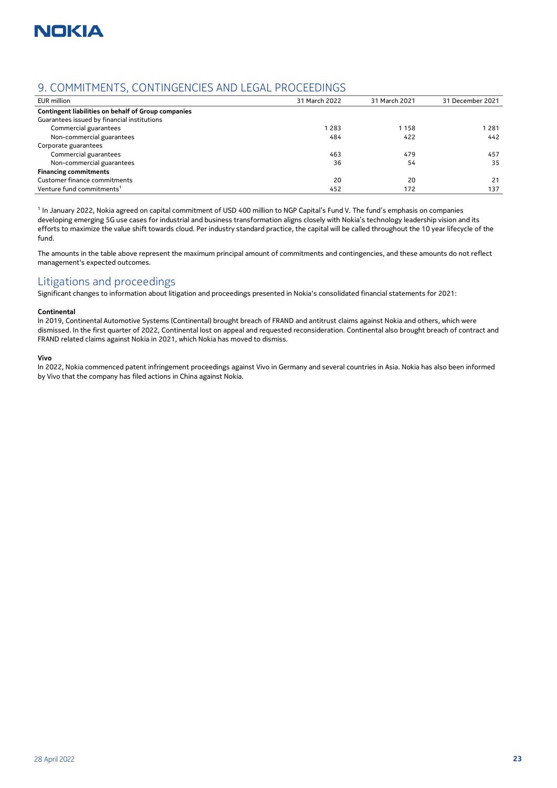

## 9. COMMITMENTS, CONTINGENCIES AND LEGAL PROCEEDINGS

| 31 March 2022 | 31 March 2021 | 31 December 2021 |
|---------------|---------------|------------------|
|               |               |                  |
|               |               |                  |
| 283           | 1158          | 1 2 8 1          |
| 484           | 422           | 442              |
|               |               |                  |
| 463           | 479           | 457              |
| 36            | 54            | 35               |
|               |               |                  |
| 20            | 20            | 21               |
| 452           | 172           | 137              |
|               |               |                  |

<sup>1</sup> In January 2022, Nokia agreed on capital commitment of USD 400 million to NGP Capital's Fund V. The fund's emphasis on companies developing emerging 5G use cases for industrial and business transformation aligns closely with Nokia's technology leadership vision and its efforts to maximize the value shift towards cloud. Per industry standard practice, the capital will be called throughout the 10 year lifecycle of the fund.

The amounts in the table above represent the maximum principal amount of commitments and contingencies, and these amounts do not reflect management's expected outcomes.

### Litigations and proceedings

Significant changes to information about litigation and proceedings presented in Nokia's consolidated financial statements for 2021:

#### **Continental**

In 2019, Continental Automotive Systems (Continental) brought breach of FRAND and antitrust claims against Nokia and others, which were dismissed. In the first quarter of 2022, Continental lost on appeal and requested reconsideration. Continental also brought breach of contract and FRAND related claims against Nokia in 2021, which Nokia has moved to dismiss.

#### **Vivo**

In 2022, Nokia commenced patent infringement proceedings against Vivo in Germany and several countries in Asia. Nokia has also been informed by Vivo that the company has filed actions in China against Nokia.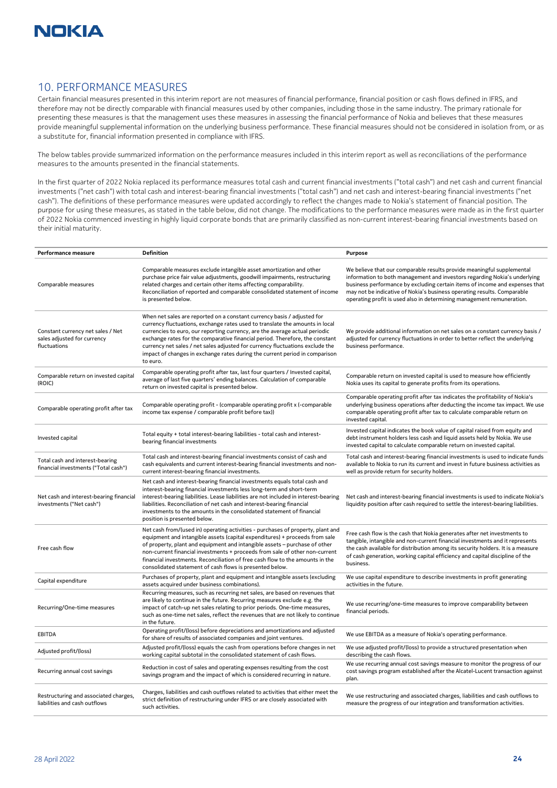

### 10. PERFORMANCE MEASURES

Certain financial measures presented in this interim report are not measures of financial performance, financial position or cash flows defined in IFRS, and therefore may not be directly comparable with financial measures used by other companies, including those in the same industry. The primary rationale for presenting these measures is that the management uses these measures in assessing the financial performance of Nokia and believes that these measures provide meaningful supplemental information on the underlying business performance. These financial measures should not be considered in isolation from, or as a substitute for, financial information presented in compliance with IFRS.

The below tables provide summarized information on the performance measures included in this interim report as well as reconciliations of the performance measures to the amounts presented in the financial statements.

In the first quarter of 2022 Nokia replaced its performance measures total cash and current financial investments ("total cash") and net cash and current financial investments ("net cash") with total cash and interest-bearing financial investments ("total cash") and net cash and interest-bearing financial investments ("net cash"). The definitions of these performance measures were updated accordingly to reflect the changes made to Nokia's statement of financial position. The purpose for using these measures, as stated in the table below, did not change. The modifications to the performance measures were made as in the first quarter of 2022 Nokia commenced investing in highly liquid corporate bonds that are primarily classified as non-current interest-bearing financial investments based on their initial maturity.

| Performance measure                                                              | <b>Definition</b>                                                                                                                                                                                                                                                                                                                                                                                                                                                                                  | <b>Purpose</b>                                                                                                                                                                                                                                                                                                                                                                         |
|----------------------------------------------------------------------------------|----------------------------------------------------------------------------------------------------------------------------------------------------------------------------------------------------------------------------------------------------------------------------------------------------------------------------------------------------------------------------------------------------------------------------------------------------------------------------------------------------|----------------------------------------------------------------------------------------------------------------------------------------------------------------------------------------------------------------------------------------------------------------------------------------------------------------------------------------------------------------------------------------|
| Comparable measures                                                              | Comparable measures exclude intangible asset amortization and other<br>purchase price fair value adjustments, goodwill impairments, restructuring<br>related charges and certain other items affecting comparability.<br>Reconciliation of reported and comparable consolidated statement of income<br>is presented below.                                                                                                                                                                         | We believe that our comparable results provide meaningful supplemental<br>information to both management and investors regarding Nokia's underlying<br>business performance by excluding certain items of income and expenses that<br>may not be indicative of Nokia's business operating results. Comparable<br>operating profit is used also in determining management remuneration. |
| Constant currency net sales / Net<br>sales adjusted for currency<br>fluctuations | When net sales are reported on a constant currency basis / adjusted for<br>currency fluctuations, exchange rates used to translate the amounts in local<br>currencies to euro, our reporting currency, are the average actual periodic<br>exchange rates for the comparative financial period. Therefore, the constant<br>currency net sales / net sales adjusted for currency fluctuations exclude the<br>impact of changes in exchange rates during the current period in comparison<br>to euro. | We provide additional information on net sales on a constant currency basis /<br>adjusted for currency fluctuations in order to better reflect the underlying<br>business performance.                                                                                                                                                                                                 |
| Comparable return on invested capital<br>(ROIC)                                  | Comparable operating profit after tax, last four quarters / Invested capital,<br>average of last five quarters' ending balances. Calculation of comparable<br>return on invested capital is presented below.                                                                                                                                                                                                                                                                                       | Comparable return on invested capital is used to measure how efficiently<br>Nokia uses its capital to generate profits from its operations.                                                                                                                                                                                                                                            |
| Comparable operating profit after tax                                            | Comparable operating profit - (comparable operating profit x (-comparable<br>income tax expense / comparable profit before tax))                                                                                                                                                                                                                                                                                                                                                                   | Comparable operating profit after tax indicates the profitability of Nokia's<br>underlying business operations after deducting the income tax impact. We use<br>comparable operating profit after tax to calculate comparable return on<br>invested capital.                                                                                                                           |
| Invested capital                                                                 | Total equity + total interest-bearing liabilities - total cash and interest-<br>bearing financial investments                                                                                                                                                                                                                                                                                                                                                                                      | Invested capital indicates the book value of capital raised from equity and<br>debt instrument holders less cash and liquid assets held by Nokia. We use<br>invested capital to calculate comparable return on invested capital.                                                                                                                                                       |
| Total cash and interest-bearing<br>financial investments ("Total cash")          | Total cash and interest-bearing financial investments consist of cash and<br>cash equivalents and current interest-bearing financial investments and non-<br>current interest-bearing financial investments.                                                                                                                                                                                                                                                                                       | Total cash and interest-bearing financial investments is used to indicate funds<br>available to Nokia to run its current and invest in future business activities as<br>well as provide return for security holders.                                                                                                                                                                   |
| Net cash and interest-bearing financial<br>investments ("Net cash")              | Net cash and interest-bearing financial investments equals total cash and<br>interest-bearing financial investments less long-term and short-term<br>interest-bearing liabilities. Lease liabilities are not included in interest-bearing<br>liabilities. Reconciliation of net cash and interest-bearing financial<br>investments to the amounts in the consolidated statement of financial<br>position is presented below.                                                                       | Net cash and interest-bearing financial investments is used to indicate Nokia's<br>liquidity position after cash required to settle the interest-bearing liabilities.                                                                                                                                                                                                                  |
| Free cash flow                                                                   | Net cash from/(used in) operating activities - purchases of property, plant and<br>equipment and intangible assets (capital expenditures) + proceeds from sale<br>of property, plant and equipment and intangible assets - purchase of other<br>non-current financial investments + proceeds from sale of other non-current<br>financial investments. Reconciliation of free cash flow to the amounts in the<br>consolidated statement of cash flows is presented below.                           | Free cash flow is the cash that Nokia generates after net investments to<br>tangible, intangible and non-current financial investments and it represents<br>the cash available for distribution among its security holders. It is a measure<br>of cash generation, working capital efficiency and capital discipline of the<br>business.                                               |
| Capital expenditure                                                              | Purchases of property, plant and equipment and intangible assets (excluding<br>assets acquired under business combinations).                                                                                                                                                                                                                                                                                                                                                                       | We use capital expenditure to describe investments in profit generating<br>activities in the future.                                                                                                                                                                                                                                                                                   |
| Recurring/One-time measures                                                      | Recurring measures, such as recurring net sales, are based on revenues that<br>are likely to continue in the future. Recurring measures exclude e.g. the<br>impact of catch-up net sales relating to prior periods. One-time measures,<br>such as one-time net sales, reflect the revenues that are not likely to continue<br>in the future.                                                                                                                                                       | We use recurring/one-time measures to improve comparability between<br>financial periods.                                                                                                                                                                                                                                                                                              |
| <b>EBITDA</b>                                                                    | Operating profit/(loss) before depreciations and amortizations and adjusted<br>for share of results of associated companies and joint ventures.                                                                                                                                                                                                                                                                                                                                                    | We use EBITDA as a measure of Nokia's operating performance.                                                                                                                                                                                                                                                                                                                           |
| Adjusted profit/(loss)                                                           | Adjusted profit/(loss) equals the cash from operations before changes in net<br>working capital subtotal in the consolidated statement of cash flows.                                                                                                                                                                                                                                                                                                                                              | We use adjusted profit/(loss) to provide a structured presentation when<br>describing the cash flows.                                                                                                                                                                                                                                                                                  |
| Recurring annual cost savings                                                    | Reduction in cost of sales and operating expenses resulting from the cost<br>savings program and the impact of which is considered recurring in nature.                                                                                                                                                                                                                                                                                                                                            | We use recurring annual cost savings measure to monitor the progress of our<br>cost savings program established after the Alcatel-Lucent transaction against<br>plan.                                                                                                                                                                                                                  |
| Restructuring and associated charges,<br>liabilities and cash outflows           | Charges, liabilities and cash outflows related to activities that either meet the<br>strict definition of restructuring under IFRS or are closely associated with<br>such activities.                                                                                                                                                                                                                                                                                                              | We use restructuring and associated charges, liabilities and cash outflows to<br>measure the progress of our integration and transformation activities.                                                                                                                                                                                                                                |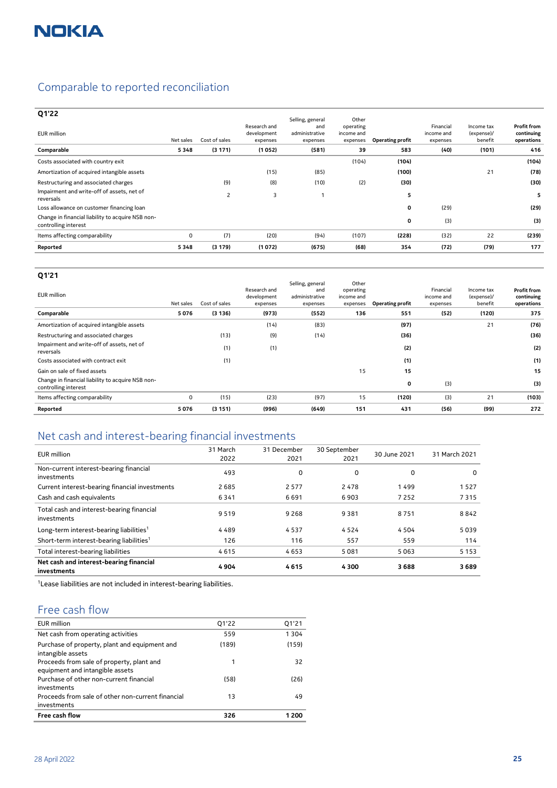## Comparable to reported reconciliation

| Q1'22                                                                     |           |                |                                         |                                                       |                                              |                         |                                     |                                     |                                                |
|---------------------------------------------------------------------------|-----------|----------------|-----------------------------------------|-------------------------------------------------------|----------------------------------------------|-------------------------|-------------------------------------|-------------------------------------|------------------------------------------------|
| <b>EUR</b> million                                                        | Net sales | Cost of sales  | Research and<br>development<br>expenses | Selling, general<br>and<br>administrative<br>expenses | Other<br>operating<br>income and<br>expenses | <b>Operating profit</b> | Financial<br>income and<br>expenses | Income tax<br>(expense)/<br>benefit | <b>Profit from</b><br>continuing<br>operations |
| Comparable                                                                | 5348      | (3171)         | (1052)                                  | (581)                                                 | 39                                           | 583                     | (40)                                | (101)                               | 416                                            |
| Costs associated with country exit                                        |           |                |                                         |                                                       | (104)                                        | (104)                   |                                     |                                     | (104)                                          |
| Amortization of acquired intangible assets                                |           |                | (15)                                    | (85)                                                  |                                              | (100)                   |                                     | 21                                  | (78)                                           |
| Restructuring and associated charges                                      |           | (9)            | (8)                                     | (10)                                                  | (2)                                          | (30)                    |                                     |                                     | (30)                                           |
| Impairment and write-off of assets, net of<br>reversals                   |           | $\overline{c}$ | 3                                       |                                                       |                                              | 5                       |                                     |                                     | 5                                              |
| Loss allowance on customer financing loan                                 |           |                |                                         |                                                       |                                              | 0                       | (29)                                |                                     | (29)                                           |
| Change in financial liability to acquire NSB non-<br>controlling interest |           |                |                                         |                                                       |                                              | 0                       | (3)                                 |                                     | (3)                                            |
| Items affecting comparability                                             | 0         | (7)            | (20)                                    | (94)                                                  | (107)                                        | (228)                   | (32)                                | 22                                  | (239)                                          |
| Reported                                                                  | 5348      | (3179)         | (1072)                                  | (675)                                                 | (68)                                         | 354                     | (72)                                | (79)                                | 177                                            |

#### **Q1'21**

| EUR million                                                               | Net sales | Cost of sales | Research and<br>development<br>expenses | Selling, general<br>and<br>administrative<br>expenses | Other<br>operating<br>income and<br>expenses | <b>Operating profit</b> | Financial<br>income and<br>expenses | Income tax<br>(expense)/<br>benefit | <b>Profit from</b><br>continuing<br>operations |
|---------------------------------------------------------------------------|-----------|---------------|-----------------------------------------|-------------------------------------------------------|----------------------------------------------|-------------------------|-------------------------------------|-------------------------------------|------------------------------------------------|
| Comparable                                                                | 5076      | (3136)        | (973)                                   | (552)                                                 | 136                                          | 551                     | (52)                                | (120)                               | 375                                            |
| Amortization of acquired intangible assets                                |           |               | (14)                                    | (83)                                                  |                                              | (97)                    |                                     | 21                                  | (76)                                           |
| Restructuring and associated charges                                      |           | (13)          | (9)                                     | (14)                                                  |                                              | (36)                    |                                     |                                     | (36)                                           |
| Impairment and write-off of assets, net of<br>reversals                   |           | (1)           | (1)                                     |                                                       |                                              | (2)                     |                                     |                                     | (2)                                            |
| Costs associated with contract exit                                       |           | (1)           |                                         |                                                       |                                              | (1)                     |                                     |                                     | (1)                                            |
| Gain on sale of fixed assets                                              |           |               |                                         |                                                       | 15                                           | 15                      |                                     |                                     | 15                                             |
| Change in financial liability to acquire NSB non-<br>controlling interest |           |               |                                         |                                                       |                                              | 0                       | (3)                                 |                                     | (3)                                            |
| Items affecting comparability                                             | 0         | (15)          | (23)                                    | (97)                                                  | 15                                           | (120)                   | (3)                                 | 21                                  | (103)                                          |
| Reported                                                                  | 5076      | (3151)        | (996)                                   | (649)                                                 | 151                                          | 431                     | (56)                                | (99)                                | 272                                            |

## Net cash and interest-bearing financial investments

| EUR million                                              | 31 March<br>2022 | 31 December<br>2021 | 30 September<br>2021 | 30 June 2021 | 31 March 2021 |
|----------------------------------------------------------|------------------|---------------------|----------------------|--------------|---------------|
| Non-current interest-bearing financial<br>investments    | 493              | 0                   | 0                    | 0            | $\Omega$      |
| Current interest-bearing financial investments           | 2685             | 2 5 7 7             | 2478                 | 1499         | 1527          |
| Cash and cash equivalents                                | 6341             | 6691                | 6903                 | 7 2 5 2      | 7315          |
| Total cash and interest-bearing financial<br>investments | 9519             | 9 2 6 8             | 9381                 | 8751         | 8842          |
| Long-term interest-bearing liabilities <sup>1</sup>      | 4489             | 4537                | 4524                 | 4504         | 5039          |
| Short-term interest-bearing liabilities <sup>1</sup>     | 126              | 116                 | 557                  | 559          | 114           |
| Total interest-bearing liabilities                       | 4615             | 4653                | 5081                 | 5063         | 5 1 5 3       |
| Net cash and interest-bearing financial<br>investments   | 4904             | 4615                | 4300                 | 3688         | 3689          |

<sup>1</sup> Lease liabilities are not included in interest-bearing liabilities.

## Free cash flow

| EUR million                                                                  | Q1'22 | 01'21   |
|------------------------------------------------------------------------------|-------|---------|
| Net cash from operating activities                                           | 559   | 1 3 0 4 |
| Purchase of property, plant and equipment and<br>intangible assets           | (189) | (159)   |
| Proceeds from sale of property, plant and<br>equipment and intangible assets | 1     | 32      |
| Purchase of other non-current financial<br>investments                       | (58)  | (26)    |
| Proceeds from sale of other non-current financial<br>investments             | 13    | 49      |
| <b>Free cash flow</b>                                                        | 326   |         |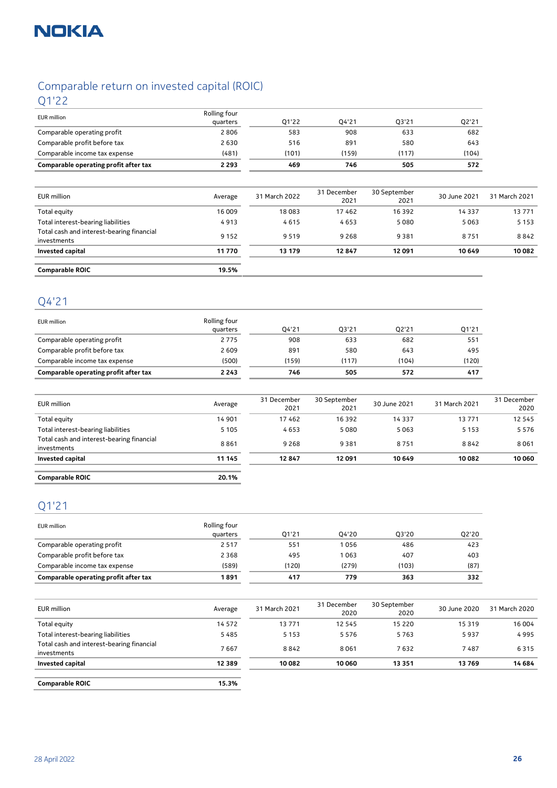

## Comparable return on invested capital (ROIC)

Q1'22

| <b>EUR</b> million                    | Rolling four |       |       |       |       |
|---------------------------------------|--------------|-------|-------|-------|-------|
|                                       | quarters     | 01'22 | 04'21 | 03'21 | Q2'21 |
| Comparable operating profit           | 2806         | 583   | 908   | 633   | 682   |
| Comparable profit before tax          | 2630         | 516   | 891   | 580   | 643   |
| Comparable income tax expense         | (481)        | (101) | (159) | (117) | (104) |
| Comparable operating profit after tax | 2 2 9 3      | 469   | 746   | 505   | 572   |

| EUR million                                              | Average | 31 March 2022 | 31 December<br>2021 | 30 September<br>2021 | 30 June 2021 | 31 March 2021 |
|----------------------------------------------------------|---------|---------------|---------------------|----------------------|--------------|---------------|
| Total equity                                             | 16 009  | 18083         | 17462               | 16 3 9 2             | 14 3 3 7     | 13771         |
| Total interest-bearing liabilities                       | 4913    | 4615          | 4653                | 5080                 | 5063         | 5 1 5 3       |
| Total cash and interest-bearing financial<br>investments | 9 1 5 2 | 9519          | 9 2 6 8             | 9381                 | 8751         | 8842          |
| Invested capital                                         | 11 770  | 13 179        | 12847               | 12 091               | 10 649       | 10 082        |
|                                                          |         |               |                     |                      |              |               |
| <b>Comparable ROIC</b>                                   | 19.5%   |               |                     |                      |              |               |

## Q4'21

| EUR million                           | Rolling four |       |       |       |       |
|---------------------------------------|--------------|-------|-------|-------|-------|
|                                       | quarters     | 04'21 | 03'21 | 02'21 | Q1'21 |
| Comparable operating profit           | 2775         | 908   | 633   | 682   | 551   |
| Comparable profit before tax          | 2 6 0 9      | 891   | 580   | 643   | 495   |
| Comparable income tax expense         | (500)        | (159) | (117) | (104) | (120) |
| Comparable operating profit after tax | 2 2 4 3      | 746   | 505   | 572   | 417   |

| EUR million                                              | Average | 31 December<br>2021 | 30 September<br>2021 | 30 June 2021 | 31 March 2021 | 31 December<br>2020 |
|----------------------------------------------------------|---------|---------------------|----------------------|--------------|---------------|---------------------|
| Total equity                                             | 14 901  | 17462               | 16 3 9 2             | 14 3 3 7     | 13771         | 12 5 4 5            |
| Total interest-bearing liabilities                       | 5 1 0 5 | 4653                | 5080                 | 5063         | 5 1 5 3       | 5576                |
| Total cash and interest-bearing financial<br>investments | 8861    | 9 2 6 8             | 9381                 | 8751         | 8842          | 8061                |
| <b>Invested capital</b>                                  | 11 145  | 12847               | 12091                | 10649        | 10 082        | 10 060              |
|                                                          |         |                     |                      |              |               |                     |
| <b>Comparable ROIC</b>                                   | 20.1%   |                     |                      |              |               |                     |

## Q1'21

| <b>EUR</b> million                    | Rolling four |       |       |       |       |
|---------------------------------------|--------------|-------|-------|-------|-------|
|                                       | quarters     | 01'21 | 04'20 | 03'20 | Q2'20 |
| Comparable operating profit           | 2517         | 551   | 1056  | 486   | 423   |
| Comparable profit before tax          | 2 3 6 8      | 495   | 1063  | 407   | 403   |
| Comparable income tax expense         | (589)        | (120) | (279) | (103) | (87)  |
| Comparable operating profit after tax | 1 891        | 417   | 779   | 363   | 332   |

| EUR million                                              | Average  | 31 March 2021 | 31 December<br>2020 | 30 September<br>2020 | 30 June 2020 | 31 March 2020 |
|----------------------------------------------------------|----------|---------------|---------------------|----------------------|--------------|---------------|
| Total equity                                             | 14 572   | 13771         | 12 5 4 5            | 15 2 20              | 15 3 19      | 16 004        |
| Total interest-bearing liabilities                       | 5485     | 5 1 5 3       | 5576                | 5763                 | 5937         | 4995          |
| Total cash and interest-bearing financial<br>investments | 7667     | 8842          | 8061                | 7632                 | 7487         | 6315          |
| <b>Invested capital</b>                                  | 12 3 8 9 | 10 082        | 10 060              | 13 35 1              | 13769        | 14 684        |
|                                                          |          |               |                     |                      |              |               |
| <b>Comparable ROIC</b>                                   | 15.3%    |               |                     |                      |              |               |